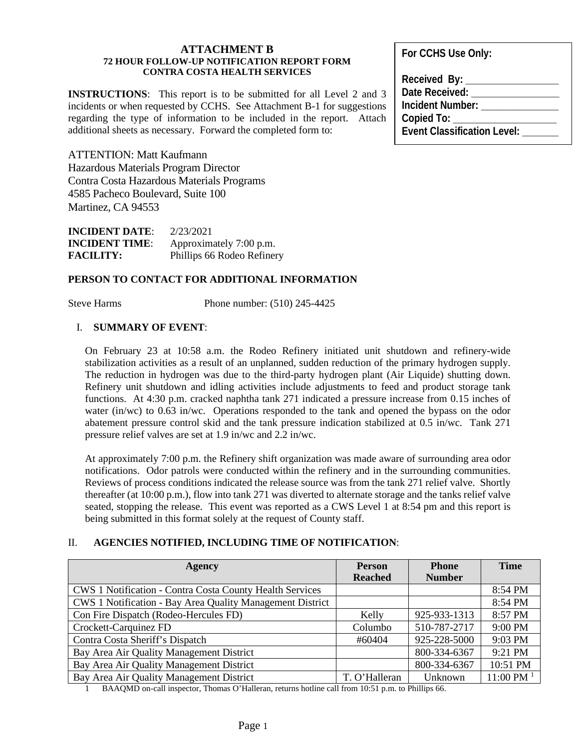### **ATTACHMENT B 72 HOUR FOLLOW-UP NOTIFICATION REPORT FORM CONTRA COSTA HEALTH SERVICES**

**INSTRUCTIONS**: This report is to be submitted for all Level 2 and 3 incidents or when requested by CCHS. See Attachment B-1 for suggestions regarding the type of information to be included in the report. Attach additional sheets as necessary. Forward the completed form to:

ATTENTION: Matt Kaufmann Hazardous Materials Program Director Contra Costa Hazardous Materials Programs 4585 Pacheco Boulevard, Suite 100 Martinez, CA 94553

**INCIDENT DATE**: 2/23/2021 **INCIDENT TIME:** Approximately 7:00 p.m. **FACILITY:** Phillips 66 Rodeo Refinery

# **PERSON TO CONTACT FOR ADDITIONAL INFORMATION**

Steve Harms Phone number: (510) 245-4425

# I. **SUMMARY OF EVENT**:

On February 23 at 10:58 a.m. the Rodeo Refinery initiated unit shutdown and refinery-wide stabilization activities as a result of an unplanned, sudden reduction of the primary hydrogen supply. The reduction in hydrogen was due to the third-party hydrogen plant (Air Liquide) shutting down. Refinery unit shutdown and idling activities include adjustments to feed and product storage tank functions. At 4:30 p.m. cracked naphtha tank 271 indicated a pressure increase from 0.15 inches of water (in/wc) to 0.63 in/wc. Operations responded to the tank and opened the bypass on the odor abatement pressure control skid and the tank pressure indication stabilized at 0.5 in/wc. Tank 271 pressure relief valves are set at 1.9 in/wc and 2.2 in/wc.

At approximately 7:00 p.m. the Refinery shift organization was made aware of surrounding area odor notifications. Odor patrols were conducted within the refinery and in the surrounding communities. Reviews of process conditions indicated the release source was from the tank 271 relief valve. Shortly thereafter (at 10:00 p.m.), flow into tank 271 was diverted to alternate storage and the tanks relief valve seated, stopping the release. This event was reported as a CWS Level 1 at 8:54 pm and this report is being submitted in this format solely at the request of County staff.

# II. **AGENCIES NOTIFIED, INCLUDING TIME OF NOTIFICATION**:

| Agency                                                          | <b>Person</b>  | <b>Phone</b>  | <b>Time</b>    |
|-----------------------------------------------------------------|----------------|---------------|----------------|
|                                                                 | <b>Reached</b> | <b>Number</b> |                |
| <b>CWS 1 Notification - Contra Costa County Health Services</b> |                |               | 8:54 PM        |
| CWS 1 Notification - Bay Area Quality Management District       |                |               | 8:54 PM        |
| Con Fire Dispatch (Rodeo-Hercules FD)                           | Kelly          | 925-933-1313  | 8:57 PM        |
| Crockett-Carquinez FD                                           | Columbo        | 510-787-2717  | 9:00 PM        |
| Contra Costa Sheriff's Dispatch                                 | #60404         | 925-228-5000  | 9:03 PM        |
| Bay Area Air Quality Management District                        |                | 800-334-6367  | 9:21 PM        |
| Bay Area Air Quality Management District                        |                | 800-334-6367  | 10:51 PM       |
| Bay Area Air Quality Management District                        | T. O'Halleran  | Unknown       | $11:00$ PM $1$ |

1 BAAQMD on-call inspector, Thomas O'Halleran, returns hotline call from 10:51 p.m. to Phillips 66.

**For CCHS Use Only:**

Received By: Date Received: **Incident Number: \_\_\_\_\_\_\_\_\_\_\_\_\_\_\_ Copied To: \_\_\_\_\_\_\_\_\_\_\_\_\_\_\_\_\_\_\_\_ Event Classification Level:**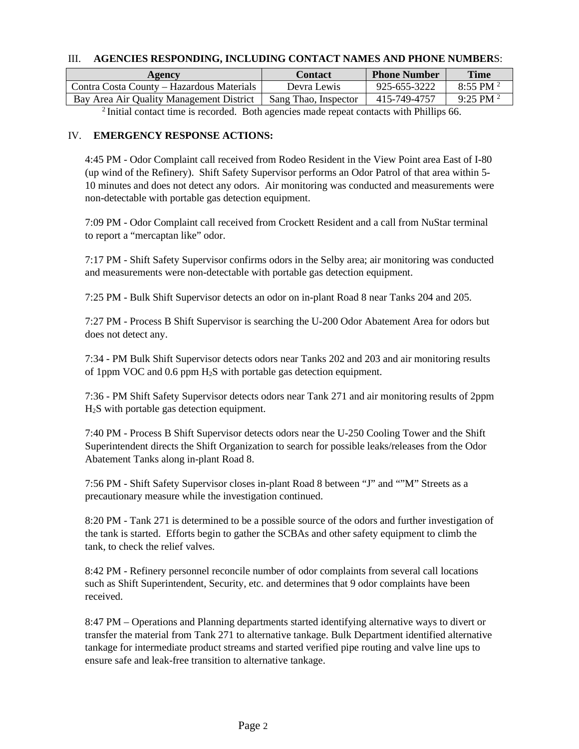# III. **AGENCIES RESPONDING, INCLUDING CONTACT NAMES AND PHONE NUMBER**S:

| Agency                                    | Contact              | <b>Phone Number</b> | Time                   |
|-------------------------------------------|----------------------|---------------------|------------------------|
| Contra Costa County – Hazardous Materials | Devra Lewis          | 925-655-3222        | 8:55 PM $^{2}$         |
| Bay Area Air Quality Management District  | Sang Thao, Inspector | 415-749-4757        | $9.25$ PM <sup>2</sup> |
| $\mathcal{L} = \mathcal{L}$               |                      | .                   |                        |

<sup>2</sup> Initial contact time is recorded. Both agencies made repeat contacts with Phillips 66.

# IV. **EMERGENCY RESPONSE ACTIONS:**

4:45 PM - Odor Complaint call received from Rodeo Resident in the View Point area East of I-80 (up wind of the Refinery). Shift Safety Supervisor performs an Odor Patrol of that area within 5- 10 minutes and does not detect any odors. Air monitoring was conducted and measurements were non-detectable with portable gas detection equipment.

7:09 PM - Odor Complaint call received from Crockett Resident and a call from NuStar terminal to report a "mercaptan like" odor.

7:17 PM - Shift Safety Supervisor confirms odors in the Selby area; air monitoring was conducted and measurements were non-detectable with portable gas detection equipment.

7:25 PM - Bulk Shift Supervisor detects an odor on in-plant Road 8 near Tanks 204 and 205.

7:27 PM - Process B Shift Supervisor is searching the U-200 Odor Abatement Area for odors but does not detect any.

7:34 - PM Bulk Shift Supervisor detects odors near Tanks 202 and 203 and air monitoring results of 1ppm VOC and 0.6 ppm H2S with portable gas detection equipment.

7:36 - PM Shift Safety Supervisor detects odors near Tank 271 and air monitoring results of 2ppm H2S with portable gas detection equipment.

7:40 PM - Process B Shift Supervisor detects odors near the U-250 Cooling Tower and the Shift Superintendent directs the Shift Organization to search for possible leaks/releases from the Odor Abatement Tanks along in-plant Road 8.

7:56 PM - Shift Safety Supervisor closes in-plant Road 8 between "J" and ""M" Streets as a precautionary measure while the investigation continued.

8:20 PM - Tank 271 is determined to be a possible source of the odors and further investigation of the tank is started. Efforts begin to gather the SCBAs and other safety equipment to climb the tank, to check the relief valves.

8:42 PM - Refinery personnel reconcile number of odor complaints from several call locations such as Shift Superintendent, Security, etc. and determines that 9 odor complaints have been received.

8:47 PM – Operations and Planning departments started identifying alternative ways to divert or transfer the material from Tank 271 to alternative tankage. Bulk Department identified alternative tankage for intermediate product streams and started verified pipe routing and valve line ups to ensure safe and leak-free transition to alternative tankage.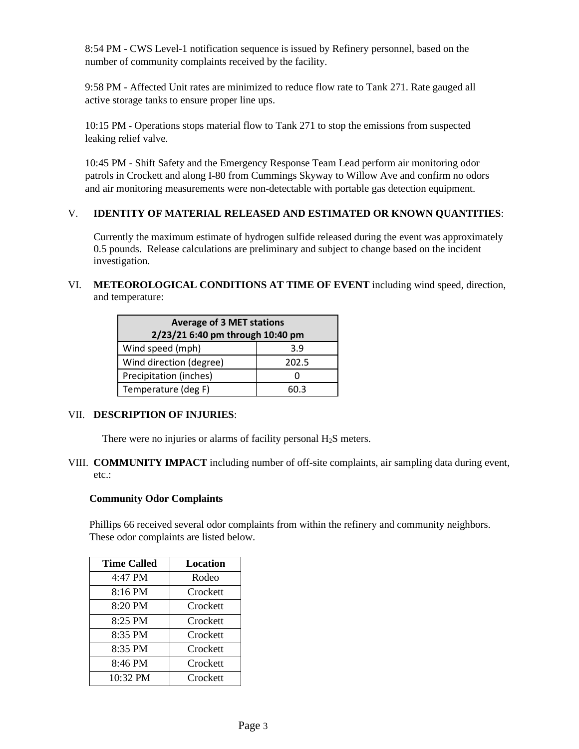8:54 PM - CWS Level-1 notification sequence is issued by Refinery personnel, based on the number of community complaints received by the facility.

9:58 PM - Affected Unit rates are minimized to reduce flow rate to Tank 271. Rate gauged all active storage tanks to ensure proper line ups.

10:15 PM - Operations stops material flow to Tank 271 to stop the emissions from suspected leaking relief valve.

10:45 PM - Shift Safety and the Emergency Response Team Lead perform air monitoring odor patrols in Crockett and along I-80 from Cummings Skyway to Willow Ave and confirm no odors and air monitoring measurements were non-detectable with portable gas detection equipment.

# V. **IDENTITY OF MATERIAL RELEASED AND ESTIMATED OR KNOWN QUANTITIES**:

Currently the maximum estimate of hydrogen sulfide released during the event was approximately 0.5 pounds. Release calculations are preliminary and subject to change based on the incident investigation.

VI. **METEOROLOGICAL CONDITIONS AT TIME OF EVENT** including wind speed, direction, and temperature:

| <b>Average of 3 MET stations</b><br>2/23/21 6:40 pm through 10:40 pm |       |
|----------------------------------------------------------------------|-------|
| Wind speed (mph)                                                     | 3.9   |
| Wind direction (degree)                                              | 202.5 |
| Precipitation (inches)                                               |       |
| Temperature (deg F)                                                  | 60.3  |

# VII. **DESCRIPTION OF INJURIES**:

There were no injuries or alarms of facility personal  $H_2S$  meters.

VIII. **COMMUNITY IMPACT** including number of off-site complaints, air sampling data during event, etc.:

# **Community Odor Complaints**

Phillips 66 received several odor complaints from within the refinery and community neighbors. These odor complaints are listed below.

| <b>Time Called</b> | Location |
|--------------------|----------|
| 4:47 PM            | Rodeo    |
| $8:16 \text{ PM}$  | Crockett |
| 8:20 PM            | Crockett |
| 8:25 PM            | Crockett |
| 8:35 PM            | Crockett |
| 8:35 PM            | Crockett |
| 8:46 PM            | Crockett |
| 10:32 PM           | Crockett |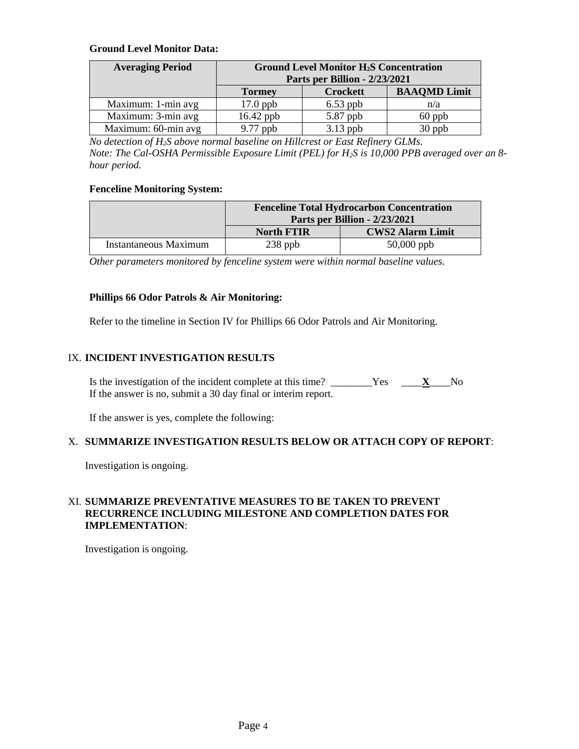# **Ground Level Monitor Data:**

| <b>Averaging Period</b> | <b>Ground Level Monitor H<sub>2</sub>S Concentration</b> |                               |                     |
|-------------------------|----------------------------------------------------------|-------------------------------|---------------------|
|                         |                                                          | Parts per Billion - 2/23/2021 |                     |
|                         | <b>Tormey</b>                                            | <b>Crockett</b>               | <b>BAAQMD Limit</b> |
| Maximum: 1-min avg      | $17.0$ ppb                                               | $6.53$ ppb                    | n/a                 |
| Maximum: 3-min avg      | 16.42 ppb                                                | 5.87 ppb                      | $60$ ppb            |
| Maximum: 60-min avg     | $9.77$ ppb                                               | $3.13$ ppb                    | 30 ppb              |

*No detection of H2S above normal baseline on Hillcrest or East Refinery GLMs. Note: The Cal-OSHA Permissible Exposure Limit (PEL) for H2S is 10,000 PPB averaged over an 8 hour period.*

# **Fenceline Monitoring System:**

|                       |                   | <b>Fenceline Total Hydrocarbon Concentration</b><br>Parts per Billion - 2/23/2021 |
|-----------------------|-------------------|-----------------------------------------------------------------------------------|
|                       | <b>North FTIR</b> | <b>CWS2 Alarm Limit</b>                                                           |
| Instantaneous Maximum | $238$ ppb         | $50,000$ ppb                                                                      |

*Other parameters monitored by fenceline system were within normal baseline values.* 

# **Phillips 66 Odor Patrols & Air Monitoring:**

Refer to the timeline in Section IV for Phillips 66 Odor Patrols and Air Monitoring.

# IX. **INCIDENT INVESTIGATION RESULTS**

Is the investigation of the incident complete at this time? \_\_\_\_\_\_\_\_Yes \_\_\_\_**X**\_\_\_\_No If the answer is no, submit a 30 day final or interim report.

If the answer is yes, complete the following:

# X. **SUMMARIZE INVESTIGATION RESULTS BELOW OR ATTACH COPY OF REPORT**:

Investigation is ongoing.

# XI. **SUMMARIZE PREVENTATIVE MEASURES TO BE TAKEN TO PREVENT RECURRENCE INCLUDING MILESTONE AND COMPLETION DATES FOR IMPLEMENTATION**:

Investigation is ongoing.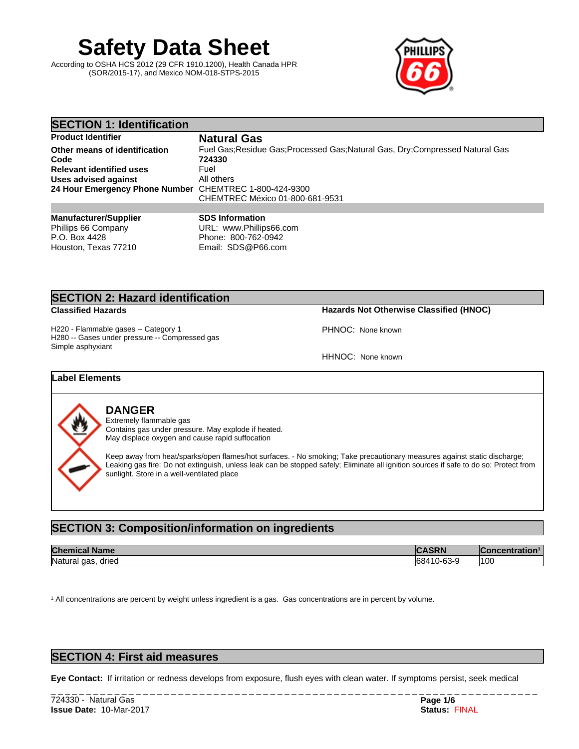# **Safety Data Sheet**

According to OSHA HCS 2012 (29 CFR 1910.1200), Health Canada HPR (SOR/2015-17), and Mexico NOM-018-STPS-2015



| <b>SECTION 1: Identification</b>                       |                                                                                |
|--------------------------------------------------------|--------------------------------------------------------------------------------|
| <b>Product Identifier</b>                              | <b>Natural Gas</b>                                                             |
| Other means of identification                          | Fuel Gas: Residue Gas: Processed Gas: Natural Gas, Dry: Compressed Natural Gas |
| Code                                                   | 724330                                                                         |
| <b>Relevant identified uses</b>                        | Fuel                                                                           |
| Uses advised against                                   | All others                                                                     |
| 24 Hour Emergency Phone Number CHEMTREC 1-800-424-9300 |                                                                                |
|                                                        | CHEMTREC México 01-800-681-9531                                                |
|                                                        |                                                                                |
| <b>Manufacturer/Supplier</b>                           | <b>SDS Information</b>                                                         |

**Manufacturer/Supplier** Phillips 66 Company P.O. Box 4428 Houston, Texas 77210

URL: www.Phillips66.com Phone: 800-762-0942 Email: SDS@P66.com

# **SECTION 2: Hazard identification**

**Classified Hazards Hazards Not Otherwise Classified (HNOC)**

H220 - Flammable gases -- Category 1 H280 -- Gases under pressure -- Compressed gas Simple asphyxiant

HHNOC: None known

PHNOC: None known

# **Label Elements**



# **DANGER**

Extremely flammable gas Contains gas under pressure. May explode if heated. May displace oxygen and cause rapid suffocation

Keep away from heat/sparks/open flames/hot surfaces. - No smoking; Take precautionary measures against static discharge; Leaking gas fire: Do not extinguish, unless leak can be stopped safely; Eliminate all ignition sources if safe to do so; Protect from sunlight. Store in a well-ventilated place

# **SECTION 3: Composition/information on ingredients**

| <b>Chemical</b>       | <b>ACDM</b>                                                     | ੋ•ncentration । |
|-----------------------|-----------------------------------------------------------------|-----------------|
| <b>Name</b>           | JRIY                                                            | w               |
| Natural gas.<br>dried | $\sim$<br>$\sim$<br>. .<br>1-63-4<br>-684<br>-บบ-<br>טשו<br>- ت | 100             |

<sup>1</sup> All concentrations are percent by weight unless ingredient is a gas. Gas concentrations are in percent by volume.

# **SECTION 4: First aid measures**

**Eye Contact:** Ifirritation or redness develops from exposure, flush eyes with clean water. If symptoms persist, seek medical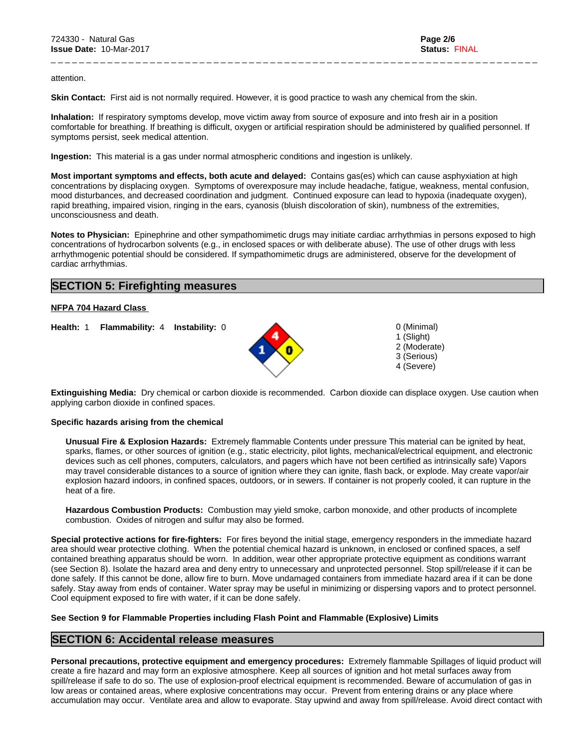attention.

**Skin Contact:** First aid is not normally required. However, it is good practice to wash any chemical from the skin.

**Inhalation:** If respiratory symptoms develop, move victim away from source of exposure and into fresh air in a position comfortable for breathing. If breathing is difficult, oxygen or artificial respiration should be administered by qualified personnel. If symptoms persist, seek medical attention.

\_ \_ \_ \_ \_ \_ \_ \_ \_ \_ \_ \_ \_ \_ \_ \_ \_ \_ \_ \_ \_ \_ \_ \_ \_ \_ \_ \_ \_ \_ \_ \_ \_ \_ \_ \_ \_ \_ \_ \_ \_ \_ \_ \_ \_ \_ \_ \_ \_ \_ \_ \_ \_ \_ \_ \_ \_ \_ \_ \_ \_ \_ \_ \_ \_ \_ \_ \_ \_

**Ingestion:** This material is a gas under normal atmospheric conditions and ingestion is unlikely.

**Most important symptoms and effects, both acute and delayed:** Contains gas(es) which can cause asphyxiation at high concentrations by displacing oxygen. Symptoms of overexposure may include headache, fatigue, weakness, mental confusion, mood disturbances, and decreased coordination and judgment. Continued exposure can lead to hypoxia (inadequate oxygen), rapid breathing, impaired vision, ringing in the ears, cyanosis (bluish discoloration of skin), numbness of the extremities, unconsciousness and death.

**Notes to Physician:**Epinephrine and other sympathomimetic drugs may initiate cardiac arrhythmias in persons exposed to high concentrations of hydrocarbon solvents (e.g., in enclosed spaces or with deliberate abuse). The use of other drugs with less arrhythmogenic potential should be considered. If sympathomimetic drugs are administered, observe for the development of cardiac arrhythmias.

# **SECTION 5: Firefighting measures**

### **NFPA 704 Hazard Class**

**Health:** 1 **Flammability:** 4 **Instability:** 0 0 (Minimal)



1 (Slight) 2 (Moderate) 3 (Serious) 4 (Severe)

**Extinguishing Media:** Dry chemical or carbon dioxide is recommended. Carbon dioxide can displace oxygen. Use caution when applying carbon dioxide in confined spaces.

### **Specific hazards arising from the chemical**

**Unusual Fire & Explosion Hazards:** Extremely flammable Contents under pressure This material can be ignited by heat, sparks, flames, or other sources of ignition (e.g., static electricity, pilot lights, mechanical/electrical equipment, and electronic devices such as cell phones, computers, calculators, and pagers which have not been certified as intrinsically safe) Vapors may travel considerable distances to a source of ignition where they can ignite, flash back, or explode. May create vapor/air explosion hazard indoors, in confined spaces, outdoors, or in sewers. If container is not properly cooled, it can rupture in the heat of a fire.

**Hazardous Combustion Products:** Combustion may yield smoke, carbon monoxide, and other products of incomplete combustion. Oxides of nitrogen and sulfur may also be formed.

**Special protective actions for fire-fighters:** For fires beyond the initial stage, emergency responders in the immediate hazard area should wear protective clothing. When the potential chemical hazard is unknown, in enclosed or confined spaces, a self contained breathing apparatus should be worn. In addition, wear other appropriate protective equipment as conditions warrant (see Section 8). Isolate the hazard area and deny entry to unnecessary and unprotected personnel. Stop spill/release if it can be done safely. If this cannot be done, allow fire to burn. Move undamaged containers from immediate hazard area if it can be done safely. Stay away from ends of container. Water spray may be useful in minimizing or dispersing vapors and to protect personnel. Cool equipment exposed to fire with water, if it can be done safely.

### **See Section 9 for Flammable Properties including Flash Point and Flammable (Explosive) Limits**

## **SECTION 6: Accidental release measures**

**Personal precautions, protective equipment and emergency procedures:** Extremely flammable Spillages of liquid product will create a fire hazard and may form an explosive atmosphere. Keep all sources of ignition and hot metal surfaces away from spill/release if safe to do so. The use of explosion-proof electrical equipment is recommended. Beware of accumulation of gas in low areas or contained areas, where explosive concentrations may occur. Prevent from entering drains or any place where accumulation may occur. Ventilate area and allow to evaporate. Stay upwind and away from spill/release. Avoid direct contact with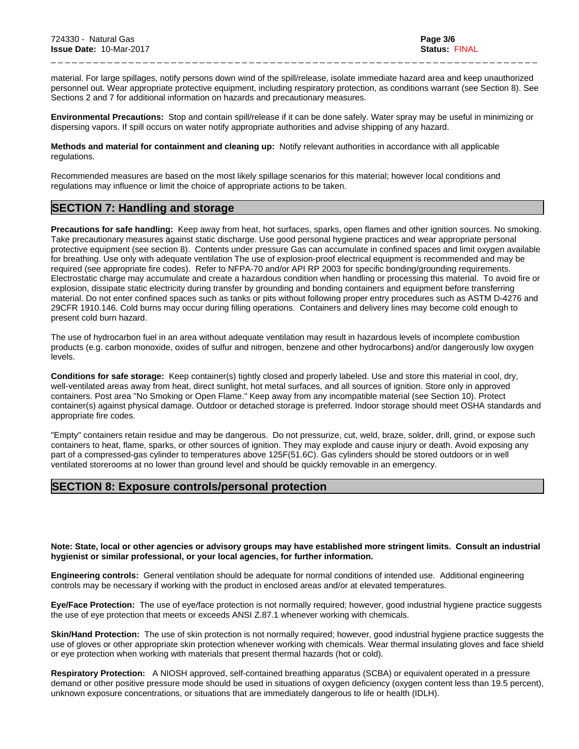material. For large spillages, notify persons down wind of the spill/release, isolate immediate hazard area and keep unauthorized personnel out. Wear appropriate protective equipment, including respiratory protection, as conditions warrant (see Section 8). See Sections 2 and 7 for additional information on hazards and precautionary measures.

\_ \_ \_ \_ \_ \_ \_ \_ \_ \_ \_ \_ \_ \_ \_ \_ \_ \_ \_ \_ \_ \_ \_ \_ \_ \_ \_ \_ \_ \_ \_ \_ \_ \_ \_ \_ \_ \_ \_ \_ \_ \_ \_ \_ \_ \_ \_ \_ \_ \_ \_ \_ \_ \_ \_ \_ \_ \_ \_ \_ \_ \_ \_ \_ \_ \_ \_ \_ \_

**Environmental Precautions:** Stop and contain spill/release if it can be done safely. Water spray may be useful in minimizing or dispersing vapors. If spill occurs on water notify appropriate authorities and advise shipping of any hazard.

**Methods and material for containment and cleaning up:** Notify relevant authorities in accordance with all applicable regulations.

Recommended measures are based on the most likely spillage scenarios for this material; however local conditions and regulations may influence or limit the choice of appropriate actions to be taken.

# **SECTION 7: Handling and storage**

**Precautions for safe handling:** Keep away from heat, hot surfaces, sparks, open flames and other ignition sources. No smoking. Take precautionary measures against static discharge. Use good personal hygiene practices and wear appropriate personal protective equipment (see section 8). Contents under pressure Gas can accumulate in confined spaces and limit oxygen available for breathing. Use only with adequate ventilation The use of explosion-proof electrical equipment is recommended and may be required (see appropriate fire codes). Refer to NFPA-70 and/or API RP 2003 for specific bonding/grounding requirements. Electrostatic charge may accumulate and create a hazardous condition when handling or processing this material. To avoid fire or explosion, dissipate static electricity during transfer by grounding and bonding containers and equipment before transferring material. Do not enterconfined spaces such as tanks or pits without following proper entry procedures such as ASTM D-4276 and 29CFR 1910.146. Cold burns may occur during filling operations. Containers and delivery lines may become cold enough to present cold burn hazard.

The use of hydrocarbon fuel in an area without adequate ventilation may result in hazardous levels of incomplete combustion products (e.g. carbon monoxide, oxides of sulfur and nitrogen, benzene and other hydrocarbons) and/or dangerously low oxygen levels.

**Conditions for safe storage:**Keep container(s) tightly closed and properly labeled. Use and store this material in cool, dry, well-ventilated areas away from heat, direct sunlight, hot metal surfaces, and all sources of ignition. Store only in approved containers. Post area "No Smoking or Open Flame." Keep away from any incompatible material(see Section 10). Protect container(s) against physical damage. Outdoor or detached storage is preferred. Indoor storage should meet OSHA standards and appropriate fire codes.

"Empty" containers retain residue and may be dangerous. Do not pressurize, cut, weld, braze, solder, drill, grind, or expose such containers to heat, flame, sparks, or other sources of ignition. They may explode and cause injury or death. Avoid exposing any part of a compressed-gas cylinder to temperatures above 125F(51.6C). Gas cylinders should be stored outdoors or in well ventilated storerooms at no lower than ground level and should be quickly removable in an emergency.

# **SECTION 8: Exposure controls/personal protection**

Note: State, local or other agencies or advisory groups may have established more stringent limits. Consult an industrial **hygienist or similar professional, or your local agencies, for further information.**

**Engineering controls:** General ventilation should be adequate for normal conditions of intended use. Additional engineering controls may be necessary if working with the product in enclosed areas and/or at elevated temperatures.

**Eye/Face Protection:** The use of eye/face protection is not normally required; however, good industrial hygiene practice suggests the use of eye protection that meets or exceeds ANSI Z.87.1 whenever working with chemicals.

Skin/Hand Protection: The use of skin protection is not normally required; however, good industrial hygiene practice suggests the use of gloves or other appropriate skin protection whenever working with chemicals. Wear thermal insulating gloves and face shield or eye protection when working with materials that present thermal hazards (hot orcold).

**Respiratory Protection:** A NIOSH approved, self-contained breathing apparatus (SCBA) or equivalent operated in a pressure demand or other positive pressure mode should be used in situations of oxygen deficiency (oxygen content less than 19.5 percent), unknown exposure concentrations, or situations that are immediately dangerous to life or health (IDLH).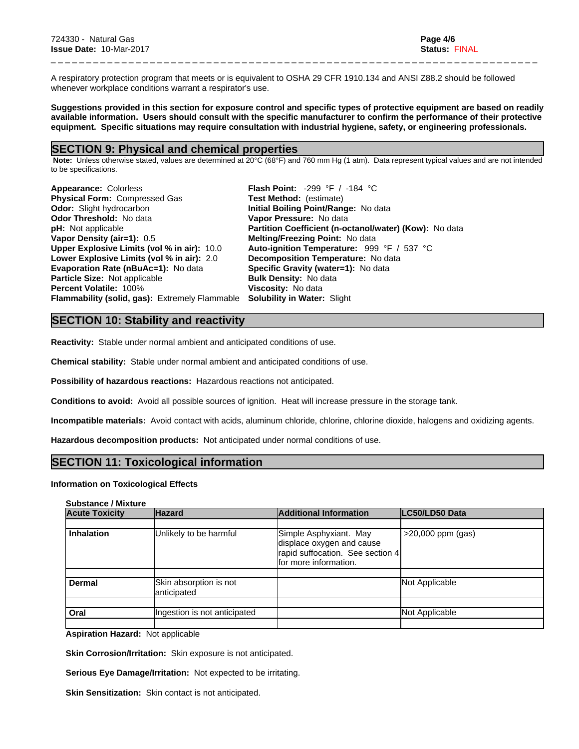A respiratory protection program that meets or is equivalent to OSHA 29 CFR 1910.134 and ANSI Z88.2 should be followed whenever workplace conditions warrant a respirator's use.

Suggestions provided in this section for exposure control and specific types of protective equipment are based on readily available information. Users should consult with the specific manufacturer to confirm the performance of their protective **equipment. Specific situations may require consultation with industrial hygiene, safety, or engineering professionals.**

\_ \_ \_ \_ \_ \_ \_ \_ \_ \_ \_ \_ \_ \_ \_ \_ \_ \_ \_ \_ \_ \_ \_ \_ \_ \_ \_ \_ \_ \_ \_ \_ \_ \_ \_ \_ \_ \_ \_ \_ \_ \_ \_ \_ \_ \_ \_ \_ \_ \_ \_ \_ \_ \_ \_ \_ \_ \_ \_ \_ \_ \_ \_ \_ \_ \_ \_ \_ \_

### **SECTION 9: Physical and chemical properties**

Note: Unless otherwise stated, values are determined at 20°C (68°F) and 760 mm Hg (1 atm). Data represent typical values and are not intended to be specifications.

| Appearance: Colorless                                                             | <b>Flash Point:</b> $-299$ °F / $-184$ °C                     |
|-----------------------------------------------------------------------------------|---------------------------------------------------------------|
| <b>Physical Form: Compressed Gas</b>                                              | <b>Test Method:</b> (estimate)                                |
| <b>Odor:</b> Slight hydrocarbon                                                   | Initial Boiling Point/Range: No data                          |
| <b>Odor Threshold: No data</b>                                                    | Vapor Pressure: No data                                       |
| <b>pH:</b> Not applicable                                                         | <b>Partition Coefficient (n-octanol/water) (Kow):</b> No data |
| Vapor Density (air=1): 0.5                                                        | <b>Melting/Freezing Point: No data</b>                        |
| Upper Explosive Limits (vol % in air): 10.0                                       | Auto-ignition Temperature: 999 °F / 537 °C                    |
| Lower Explosive Limits (vol % in air): 2.0                                        | <b>Decomposition Temperature:</b> No data                     |
| <b>Evaporation Rate (nBuAc=1):</b> No data                                        | Specific Gravity (water=1): No data                           |
| <b>Particle Size: Not applicable</b>                                              | <b>Bulk Density: No data</b>                                  |
| <b>Percent Volatile: 100%</b>                                                     | <b>Viscosity: No data</b>                                     |
| <b>Flammability (solid, gas):</b> Extremely Flammable Solubility in Water: Slight |                                                               |

# **SECTION 10: Stability and reactivity**

**Reactivity:** Stable under normal ambient and anticipated conditions of use.

**Chemical stability:** Stable under normal ambient and anticipated conditions of use.

**Possibility of hazardous reactions:** Hazardous reactions not anticipated.

**Conditions to avoid:** Avoid all possible sources of ignition. Heat will increase pressure in the storage tank.

**Incompatible materials:** Avoid contact with acids, aluminum chloride, chlorine, chlorine dioxide, halogens and oxidizing agents.

**Hazardous decomposition products:** Not anticipated under normal conditions of use.

## **SECTION 11: Toxicological information**

### **Information on Toxicological Effects**

### **Substance / Mixture**

| <b>Acute Toxicity</b> | <b>Hazard</b>                          | <b>Additional Information</b>                                                                                    | LC50/LD50 Data      |
|-----------------------|----------------------------------------|------------------------------------------------------------------------------------------------------------------|---------------------|
|                       |                                        |                                                                                                                  |                     |
| <b>Inhalation</b>     | Unlikely to be harmful                 | Simple Asphyxiant. May<br>displace oxygen and cause<br>rapid suffocation. See section 4<br>for more information. | $>20,000$ ppm (gas) |
| <b>Dermal</b>         | Skin absorption is not<br>lanticipated |                                                                                                                  | Not Applicable      |
| Oral                  | Ingestion is not anticipated           |                                                                                                                  | Not Applicable      |

**Aspiration Hazard:** Not applicable

**Skin Corrosion/Irritation:** Skin exposure is not anticipated.

**Serious Eye Damage/Irritation:** Not expected to be irritating.

**Skin Sensitization:** Skin contact is not anticipated.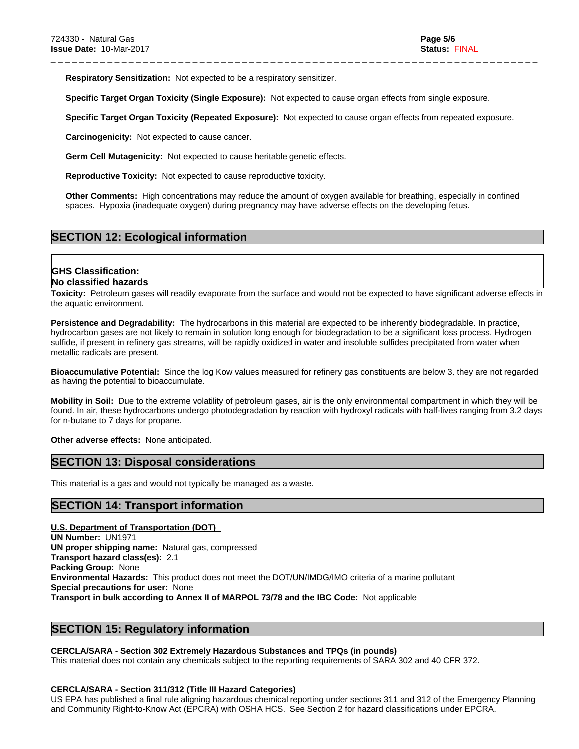**Respiratory Sensitization:** Not expected to be a respiratory sensitizer.

**Specific Target Organ Toxicity (Single Exposure):** Not expected to cause organ effects from single exposure.

**Specific Target Organ Toxicity (Repeated Exposure):** Not expected to cause organ effects from repeated exposure.

\_ \_ \_ \_ \_ \_ \_ \_ \_ \_ \_ \_ \_ \_ \_ \_ \_ \_ \_ \_ \_ \_ \_ \_ \_ \_ \_ \_ \_ \_ \_ \_ \_ \_ \_ \_ \_ \_ \_ \_ \_ \_ \_ \_ \_ \_ \_ \_ \_ \_ \_ \_ \_ \_ \_ \_ \_ \_ \_ \_ \_ \_ \_ \_ \_ \_ \_ \_ \_

**Carcinogenicity:** Not expected to cause cancer.

**Germ Cell Mutagenicity:** Not expected to cause heritable genetic effects.

**Reproductive Toxicity:** Not expected to cause reproductive toxicity.

**Other Comments:** High concentrations may reduce the amount of oxygen available for breathing, especially in confined spaces. Hypoxia (inadequate oxygen) during pregnancy may have adverse effects on the developing fetus.

# **SECTION 12: Ecological information**

# **GHS Classification: No classified hazards**

Toxicity: Petroleum gases will readily evaporate from the surface and would not be expected to have significant adverse effects in the aquatic environment.

**Persistence and Degradability:** The hydrocarbons in this material are expected to be inherently biodegradable. In practice, hydrocarbon gases are not likely to remain in solution long enough for biodegradation to be a significant loss process. Hydrogen sulfide, if present in refinery gas streams, will be rapidly oxidized in water and insoluble sulfides precipitated from water when metallic radicals are present.

**Bioaccumulative Potential:** Since the log Kow values measured for refinery gas constituents are below 3, they are not regarded as having the potential to bioaccumulate.

**Mobility in Soil:** Due to the extreme volatility of petroleum gases, air is the only environmental compartment in which they will be found. In air, these hydrocarbons undergo photodegradation by reaction with hydroxyl radicals with half-lives ranging from 3.2 days for n-butane to 7 days for propane.

**Other adverse effects:** None anticipated.

# **SECTION 13: Disposal considerations**

This material is a gas and would not typically be managed as a waste.

# **SECTION 14: Transport information**

### **U.S. Department of Transportation (DOT)**

**UN Number:** UN1971 **UN proper shipping name:** Natural gas, compressed **Transport hazard class(es):** 2.1 **Packing Group:** None **Environmental Hazards:** This product does not meet the DOT/UN/IMDG/IMO criteria of a marine pollutant **Special precautions for user:** None **Transport in bulk according to Annex II of MARPOL 73/78 and the IBC Code:** Not applicable

# **SECTION 15: Regulatory information**

### **CERCLA/SARA - Section 302 Extremely Hazardous Substances and TPQs (in pounds)**

This material does not contain any chemicals subject to the reporting requirements of SARA 302 and 40 CFR 372.

### **CERCLA/SARA - Section 311/312 (Title III Hazard Categories)**

US EPA has published a final rule aligning hazardous chemical reporting under sections 311 and 312 of the Emergency Planning and Community Right-to-Know Act (EPCRA) with OSHA HCS. See Section 2 for hazard classifications under EPCRA.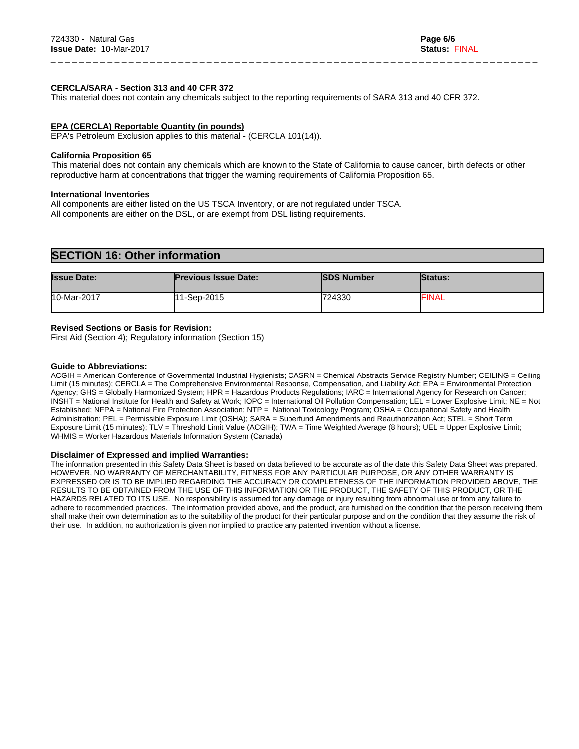### **CERCLA/SARA - Section 313 and 40 CFR 372**

This material does not contain any chemicals subject to the reporting requirements of SARA 313 and 40 CFR 372.

### **EPA (CERCLA) Reportable Quantity (in pounds)**

EPA's Petroleum Exclusion applies to this material - (CERCLA 101(14)).

### **California Proposition 65**

This material does not contain any chemicals which are known to the State of California to cause cancer, birth defects or other reproductive harm at concentrations that trigger the warning requirements of California Proposition 65.

\_ \_ \_ \_ \_ \_ \_ \_ \_ \_ \_ \_ \_ \_ \_ \_ \_ \_ \_ \_ \_ \_ \_ \_ \_ \_ \_ \_ \_ \_ \_ \_ \_ \_ \_ \_ \_ \_ \_ \_ \_ \_ \_ \_ \_ \_ \_ \_ \_ \_ \_ \_ \_ \_ \_ \_ \_ \_ \_ \_ \_ \_ \_ \_ \_ \_ \_ \_ \_

### **International Inventories**

All components are either listed on the US TSCA Inventory, or are not regulated under TSCA. All components are either on the DSL, or are exempt from DSL listing requirements.

# **SECTION 16: Other information**

| <b>Issue Date:</b> | <b>Previous Issue Date:</b> | <b>ISDS Number</b> | <b>Status:</b> |
|--------------------|-----------------------------|--------------------|----------------|
| 10-Mar-2017        | l11-Sep-2015                | 724330             | <b>FINAL</b>   |

### **Revised Sections or Basis for Revision:**

First Aid (Section 4); Regulatory information (Section 15)

### **Guide to Abbreviations:**

ACGIH = American Conference of Governmental Industrial Hygienists; CASRN = Chemical Abstracts Service Registry Number; CEILING = Ceiling Limit (15 minutes); CERCLA = The Comprehensive Environmental Response, Compensation, and Liability Act; EPA = Environmental Protection Agency; GHS = Globally Harmonized System; HPR = Hazardous Products Regulations; IARC = International Agency for Research on Cancer; INSHT = National Institute for Health and Safety at Work; IOPC = International Oil Pollution Compensation; LEL = Lower Explosive Limit; NE = Not Established; NFPA = National Fire Protection Association; NTP = National Toxicology Program; OSHA = Occupational Safety and Health Administration; PEL = Permissible Exposure Limit (OSHA); SARA = Superfund Amendments and Reauthorization Act; STEL = Short Term Exposure Limit (15 minutes); TLV = Threshold Limit Value (ACGIH); TWA = Time Weighted Average (8 hours); UEL = Upper Explosive Limit; WHMIS = Worker Hazardous Materials Information System (Canada)

### **Disclaimer of Expressed and implied Warranties:**

The information presented in this Safety Data Sheet is based on data believed to be accurate as of the date this Safety Data Sheet was prepared. HOWEVER, NO WARRANTY OF MERCHANTABILITY, FITNESS FOR ANY PARTICULAR PURPOSE, OR ANY OTHER WARRANTY IS EXPRESSED OR IS TO BE IMPLIED REGARDING THE ACCURACY OR COMPLETENESS OF THE INFORMATION PROVIDED ABOVE, THE RESULTS TO BE OBTAINED FROM THE USE OF THIS INFORMATION OR THE PRODUCT, THE SAFETY OF THIS PRODUCT, OR THE HAZARDS RELATED TO ITS USE. No responsibility is assumed for any damage or injury resulting from abnormal use or from any failure to adhere to recommended practices. The information provided above, and the product, are furnished on the condition that the person receiving them shall make their own determination as to the suitability of the product for their particular purpose and on the condition that they assume the risk of their use. In addition, no authorization is given nor implied to practice any patented invention without a license.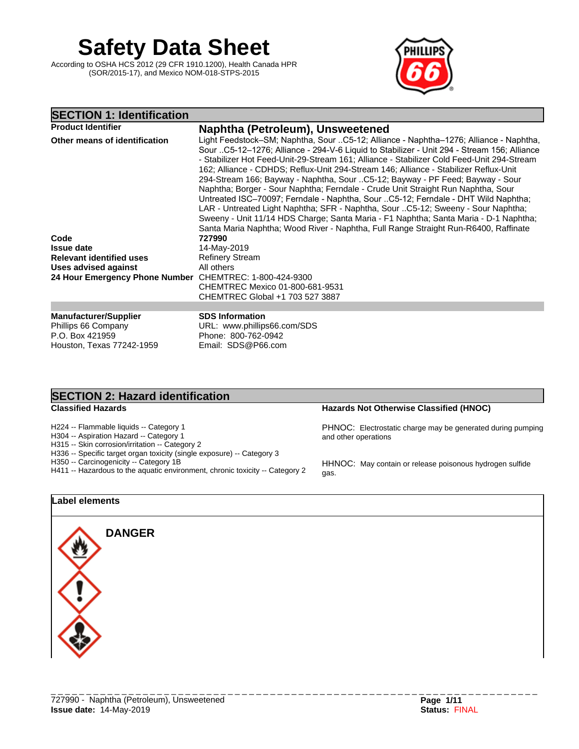# **Safety Data Sheet**

According to OSHA HCS 2012 (29 CFR 1910.1200), Health Canada HPR (SOR/2015-17), and Mexico NOM-018-STPS-2015



# **SECTION 1: Identification**

| <b>Product Identifier</b>                               | Naphtha (Petroleum), Unsweetened                                                                                                                                                                                                                                                                                                                                                                                                                                                                                                                                                                                                                                                                                                                                                                               |
|---------------------------------------------------------|----------------------------------------------------------------------------------------------------------------------------------------------------------------------------------------------------------------------------------------------------------------------------------------------------------------------------------------------------------------------------------------------------------------------------------------------------------------------------------------------------------------------------------------------------------------------------------------------------------------------------------------------------------------------------------------------------------------------------------------------------------------------------------------------------------------|
| Other means of identification                           | Light Feedstock–SM; Naphtha, Sour C5-12; Alliance - Naphtha–1276; Alliance - Naphtha,<br>Sour C5-12-1276; Alliance - 294-V-6 Liquid to Stabilizer - Unit 294 - Stream 156; Alliance<br>- Stabilizer Hot Feed-Unit-29-Stream 161; Alliance - Stabilizer Cold Feed-Unit 294-Stream<br>162; Alliance - CDHDS; Reflux-Unit 294-Stream 146; Alliance - Stabilizer Reflux-Unit<br>294-Stream 166; Bayway - Naphtha, Sour C5-12; Bayway - PF Feed; Bayway - Sour<br>Naphtha; Borger - Sour Naphtha; Ferndale - Crude Unit Straight Run Naphtha, Sour<br>Untreated ISC-70097; Ferndale - Naphtha, Sour C5-12; Ferndale - DHT Wild Naphtha;<br>LAR - Untreated Light Naphtha; SFR - Naphtha, Sour C5-12; Sweeny - Sour Naphtha;<br>Sweeny - Unit 11/14 HDS Charge; Santa Maria - F1 Naphtha; Santa Maria - D-1 Naphtha; |
|                                                         | Santa Maria Naphtha; Wood River - Naphtha, Full Range Straight Run-R6400, Raffinate                                                                                                                                                                                                                                                                                                                                                                                                                                                                                                                                                                                                                                                                                                                            |
| Code                                                    | 727990                                                                                                                                                                                                                                                                                                                                                                                                                                                                                                                                                                                                                                                                                                                                                                                                         |
| <b>Issue date</b>                                       | 14-May-2019                                                                                                                                                                                                                                                                                                                                                                                                                                                                                                                                                                                                                                                                                                                                                                                                    |
| <b>Relevant identified uses</b>                         | <b>Refinery Stream</b>                                                                                                                                                                                                                                                                                                                                                                                                                                                                                                                                                                                                                                                                                                                                                                                         |
| Uses advised against                                    | All others                                                                                                                                                                                                                                                                                                                                                                                                                                                                                                                                                                                                                                                                                                                                                                                                     |
| 24 Hour Emergency Phone Number CHEMTREC: 1-800-424-9300 |                                                                                                                                                                                                                                                                                                                                                                                                                                                                                                                                                                                                                                                                                                                                                                                                                |
|                                                         | CHEMTREC Mexico 01-800-681-9531                                                                                                                                                                                                                                                                                                                                                                                                                                                                                                                                                                                                                                                                                                                                                                                |
|                                                         | CHEMTREC Global +1 703 527 3887                                                                                                                                                                                                                                                                                                                                                                                                                                                                                                                                                                                                                                                                                                                                                                                |
|                                                         |                                                                                                                                                                                                                                                                                                                                                                                                                                                                                                                                                                                                                                                                                                                                                                                                                |
| <b>Manufacturer/Supplier</b>                            | <b>SDS Information</b>                                                                                                                                                                                                                                                                                                                                                                                                                                                                                                                                                                                                                                                                                                                                                                                         |
| Phillips 66 Company                                     | URL: www.phillips66.com/SDS                                                                                                                                                                                                                                                                                                                                                                                                                                                                                                                                                                                                                                                                                                                                                                                    |
| P.O. Box 421959                                         | Phone: 800-762-0942                                                                                                                                                                                                                                                                                                                                                                                                                                                                                                                                                                                                                                                                                                                                                                                            |
| Houston, Texas 77242-1959                               | Email: SDS@P66.com                                                                                                                                                                                                                                                                                                                                                                                                                                                                                                                                                                                                                                                                                                                                                                                             |

# **SECTION 2: Hazard identification**<br>Classified Hazards

H224 -- Flammable liquids -- Category 1

H304 -- Aspiration Hazard -- Category 1

H315 -- Skin corrosion/irritation -- Category 2

H336 -- Specific target organ toxicity (single exposure) -- Category 3

H350 -- Carcinogenicity -- Category 1B

H411 -- Hazardous to the aquatic environment, chronic toxicity -- Category 2

## **Classified Hazards Hazards Not Otherwise Classified (HNOC)**

PHNOC: Electrostatic charge may be generated during pumping and other operations

HHNOC: May contain or release poisonous hydrogen sulfide gas.

## **Label elements**

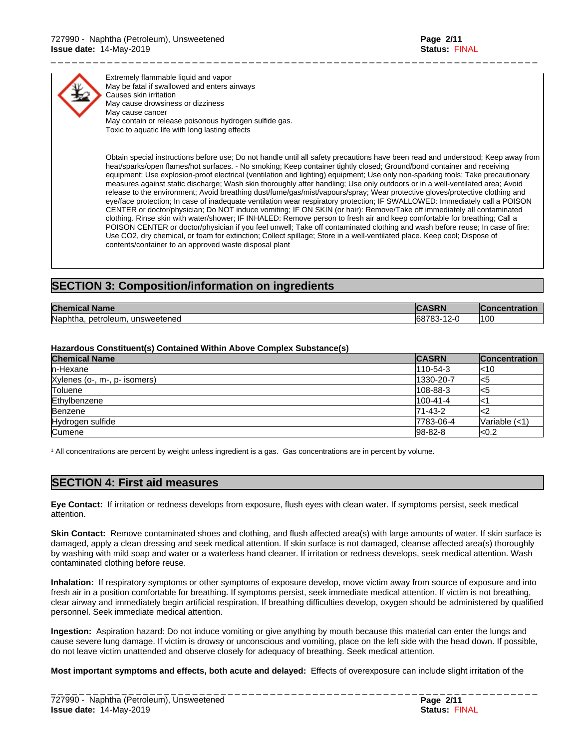

Extremely flammable liquid and vapor May be fatal if swallowed and enters airways Causes skin irritation May cause drowsiness or dizziness May cause cancer May contain or release poisonous hydrogen sulfide gas. Toxic to aquatic life with long lasting effects

Obtain special instructions before use; Do not handle until all safety precautions have been read and understood; Keep away from heat/sparks/open flames/hot surfaces. - No smoking; Keep container tightly closed; Ground/bond container and receiving equipment; Use explosion-proof electrical (ventilation and lighting) equipment; Use only non-sparking tools; Take precautionary measures against static discharge; Wash skin thoroughly after handling; Use only outdoors or in a well-ventilated area; Avoid release to the environment; Avoid breathing dust/fume/gas/mist/vapours/spray; Wear protective gloves/protective clothing and eye/face protection; In case of inadequate ventilation wear respiratory protection; IF SWALLOWED: Immediately call a POISON CENTER or doctor/physician; Do NOT induce vomiting; IF ON SKIN (or hair): Remove/Take off immediately all contaminated clothing. Rinse skin with water/shower; IF INHALED: Remove person to fresh air and keep comfortable for breathing; Call a POISON CENTER or doctor/physician if you feel unwell; Take off contaminated clothing and wash before reuse; In case of fire: Use CO2, dry chemical, or foam for extinction; Collect spillage; Store in a well-ventilated place. Keep cool; Dispose of contents/container to an approved waste disposal plant

\_ \_ \_ \_ \_ \_ \_ \_ \_ \_ \_ \_ \_ \_ \_ \_ \_ \_ \_ \_ \_ \_ \_ \_ \_ \_ \_ \_ \_ \_ \_ \_ \_ \_ \_ \_ \_ \_ \_ \_ \_ \_ \_ \_ \_ \_ \_ \_ \_ \_ \_ \_ \_ \_ \_ \_ \_ \_ \_ \_ \_ \_ \_ \_ \_ \_ \_ \_ \_

# **SECTION 3: Composition/information on ingredients**

| <b>Chemical</b><br><b>Name</b>       | ORCDH                                  | <b>Concentration</b> |
|--------------------------------------|----------------------------------------|----------------------|
| Naphtha.<br>unsweetened<br>petroleum | 68783<br>$\sim$<br>. <i>.</i> .<br>ັບພ | '100                 |

### **Hazardous Constituent(s) Contained Within Above Complex Substance(s)**

| <b>Chemical Name</b>         | <b>CASRN</b>   | <b>Concentration</b> |
|------------------------------|----------------|----------------------|
| In-Hexane                    | $110 - 54 - 3$ | l<10                 |
| Xylenes (o-, m-, p- isomers) | 1330-20-7      | כ>ו                  |
| Toluene                      | 108-88-3       | ל>ו                  |
| Ethylbenzene                 | 100-41-4       |                      |
| Benzene                      | 71-43-2        |                      |
| Hydrogen sulfide             | 7783-06-4      | Variable $(<1)$      |
| Cumene                       | 98-82-8        | k0.2                 |

<sup>1</sup> All concentrations are percent by weight unless ingredient is a gas. Gas concentrations are in percent by volume.

# **SECTION 4: First aid measures**

**Eye Contact:** Ifirritation or redness develops from exposure, flush eyes with clean water. If symptoms persist, seek medical attention.

**Skin Contact:** Remove contaminated shoes and clothing, and flush affected area(s) with large amounts of water. If skin surface is damaged, apply a clean dressing and seek medical attention. If skin surface is not damaged, cleanse affected area(s) thoroughly by washing with mild soap and water or a waterless hand cleaner. If irritation or redness develops, seek medical attention. Wash contaminated clothing before reuse.

**Inhalation:** If respiratory symptoms or other symptoms of exposure develop, move victim away from source of exposure and into fresh air in a position comfortable for breathing. If symptoms persist, seek immediate medical attention. If victim is not breathing, clear airway and immediately begin artificial respiration. If breathing difficulties develop, oxygen should be administered by qualified personnel. Seek immediate medical attention.

**Ingestion:** Aspiration hazard: Do not induce vomiting or give anything by mouth because this material can enter the lungs and cause severe lung damage. If victim is drowsy or unconscious and vomiting, place on the left side with the head down. If possible, do not leave victim unattended and observe closely for adequacy of breathing. Seek medical attention.

**Most important symptoms and effects, both acute and delayed:** Effects of overexposure can include slight irritation of the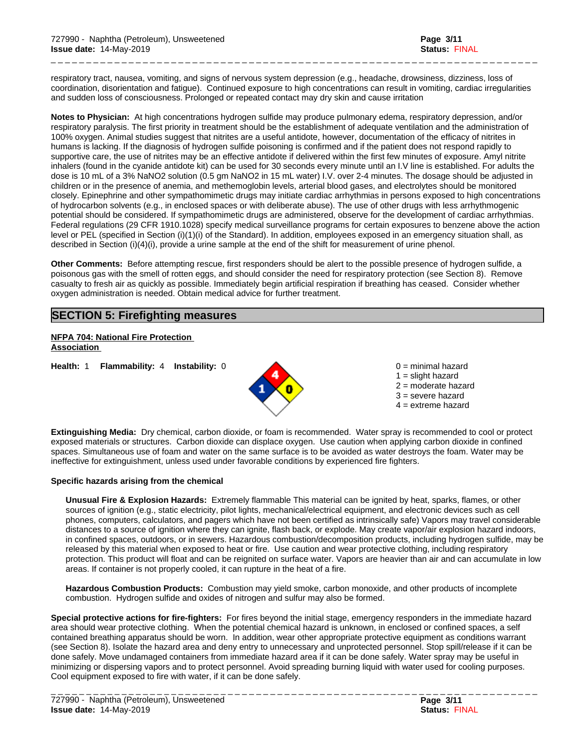respiratory tract, nausea, vomiting, and signs of nervous system depression(e.g., headache, drowsiness, dizziness, loss of coordination, disorientation and fatigue). Continued exposure to high concentrations can result in vomiting, cardiac irregularities and sudden loss of consciousness. Prolonged or repeated contact may dry skin and cause irritation

\_ \_ \_ \_ \_ \_ \_ \_ \_ \_ \_ \_ \_ \_ \_ \_ \_ \_ \_ \_ \_ \_ \_ \_ \_ \_ \_ \_ \_ \_ \_ \_ \_ \_ \_ \_ \_ \_ \_ \_ \_ \_ \_ \_ \_ \_ \_ \_ \_ \_ \_ \_ \_ \_ \_ \_ \_ \_ \_ \_ \_ \_ \_ \_ \_ \_ \_ \_ \_

**Notes to Physician:**At high concentrations hydrogen sulfide may produce pulmonary edema, respiratory depression, and/or respiratory paralysis. The first priority in treatment should be the establishment of adequate ventilation and the administration of 100% oxygen. Animal studies suggest that nitrites are a useful antidote, however, documentation of the efficacy of nitrites in humans is lacking. If the diagnosis of hydrogen sulfide poisoning is confirmed and if the patient does not respond rapidly to supportive care, the use of nitrites may be an effective antidote if delivered within the first few minutes of exposure. Amyl nitrite inhalers (found in the cyanide antidote kit) can be used for 30 seconds every minute until an I.V line isestablished. For adults the dose is 10 mL of a 3% NaNO2 solution (0.5 gm NaNO2 in 15 mL water) I.V. over 2-4 minutes. The dosage should be adjusted in children or in the presence of anemia, and methemoglobin levels, arterial blood gases, and electrolytes should be monitored closely. Epinephrine and other sympathomimetic drugs may initiate cardiac arrhythmias in persons exposed to high concentrations of hydrocarbon solvents (e.g., in enclosed spaces or with deliberate abuse). The use of other drugs with less arrhythmogenic potential should be considered. If sympathomimetic drugs are administered, observe for the development of cardiac arrhythmias. Federal regulations (29 CFR 1910.1028) specify medical surveillance programs for certain exposures to benzene above the action level or PEL (specified in Section (i)(1)(i) of the Standard). In addition, employees exposed in an emergency situation shall, as described in Section (i)(4)(i), provide a urine sample at the end of the shift for measurement of urine phenol.

**Other Comments:** Before attempting rescue, first responders should be alert to the possible presence of hydrogen sulfide, a poisonous gas with the smell of rotten eggs, and should consider the need for respiratory protection (see Section 8). Remove casualty to fresh air as quickly as possible. Immediately begin artificial respiration if breathing has ceased. Consider whether oxygen administration is needed. Obtain medical advice for further treatment.

# **SECTION 5: Firefighting measures**

**NFPA 704: National Fire Protection Association** 

**Health:** 1 **Flammability:** 4 **Instability:** 0 0 = minimal hazard



 $1 =$  slight hazard 2 = moderate hazard  $3$  = severe hazard  $4 =$  extreme hazard

**Extinguishing Media:** Dry chemical, carbon dioxide, or foam is recommended. Water spray is recommended to cool or protect exposed materials or structures. Carbon dioxide can displace oxygen. Use caution when applying carbon dioxide in confined spaces. Simultaneous use of foam and water on the same surface is to be avoided as water destroys the foam. Water may be ineffective for extinguishment, unless used under favorable conditions by experienced fire fighters.

### **Specific hazards arising from the chemical**

**Unusual Fire & Explosion Hazards:** Extremely flammable This material can be ignited by heat, sparks, flames, or other sources of ignition (e.g., static electricity, pilot lights, mechanical/electrical equipment, and electronic devices such as cell phones, computers, calculators, and pagers which have not been certified as intrinsically safe) Vapors may travel considerable distances to a source of ignition where they can ignite, flash back, or explode. May create vapor/air explosion hazard indoors, in confined spaces, outdoors, or in sewers. Hazardous combustion/decomposition products, including hydrogen sulfide, may be released by this material when exposed to heat or fire. Use caution and wear protective clothing, including respiratory protection. This product willfloat and can be reignited on surface water. Vapors are heavier than air and can accumulate in low areas. If container is not properly cooled, it can rupture in the heat of a fire.

**Hazardous Combustion Products:** Combustion may yield smoke, carbon monoxide, and other products of incomplete combustion. Hydrogen sulfide and oxides of nitrogen and sulfur may also be formed.

**Special protective actions for fire-fighters:** For fires beyond the initial stage, emergency responders in the immediate hazard area should wear protective clothing. When the potential chemical hazard is unknown, in enclosed or confined spaces, a self contained breathing apparatus should be worn. In addition, wear other appropriate protective equipment as conditions warrant (see Section 8). Isolate the hazard area and deny entry to unnecessary and unprotected personnel. Stop spill/release if it can be done safely. Move undamaged containers from immediate hazard area if it can be done safely. Water spray may be useful in minimizing or dispersing vapors and to protect personnel. Avoid spreading burning liquid with water used for cooling purposes. Cool equipment exposed to fire with water, if it can be done safely.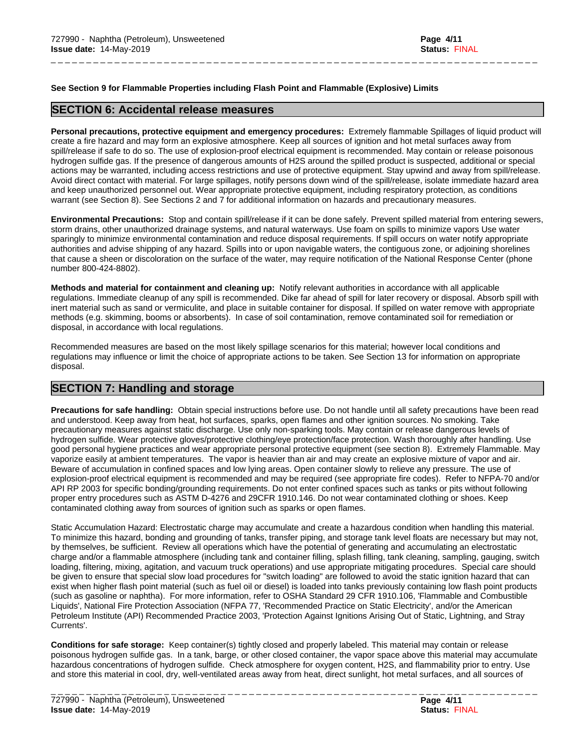### **See Section 9 for Flammable Properties including Flash Point and Flammable (Explosive) Limits**

## **SECTION 6: Accidental release measures**

**Personal precautions, protective equipment and emergency procedures:** Extremely flammable Spillages of liquid product will create a fire hazard and may form an explosive atmosphere. Keep all sources of ignition and hot metal surfaces away from spill/release if safe to do so. The use of explosion-proof electrical equipment is recommended. May contain or release poisonous hydrogen sulfide gas. If the presence of dangerous amounts of H2S around the spilled product is suspected, additional or special actions may be warranted, including access restrictions and use of protective equipment. Stay upwind and away from spill/release. Avoid direct contact with material. For large spillages, notify persons down wind of the spill/release, isolate immediate hazard area and keep unauthorized personnel out. Wear appropriate protective equipment, including respiratory protection, as conditions warrant (see Section 8). See Sections 2 and 7 for additional information on hazards and precautionary measures.

\_ \_ \_ \_ \_ \_ \_ \_ \_ \_ \_ \_ \_ \_ \_ \_ \_ \_ \_ \_ \_ \_ \_ \_ \_ \_ \_ \_ \_ \_ \_ \_ \_ \_ \_ \_ \_ \_ \_ \_ \_ \_ \_ \_ \_ \_ \_ \_ \_ \_ \_ \_ \_ \_ \_ \_ \_ \_ \_ \_ \_ \_ \_ \_ \_ \_ \_ \_ \_

**Environmental Precautions:** Stop and contain spill/release if it can be done safely. Prevent spilled material from entering sewers, storm drains, other unauthorized drainage systems, and natural waterways. Use foam on spills to minimize vapors Use water sparingly to minimize environmental contamination and reduce disposal requirements. If spill occurs on water notify appropriate authorities and advise shipping of any hazard. Spills into or upon navigable waters, the contiguous zone, or adjoining shorelines that cause a sheen or discoloration on the surface of the water, may require notification of the National Response Center (phone number 800-424-8802).

**Methods and material for containment and cleaning up:** Notify relevant authorities in accordance with all applicable regulations. Immediate cleanup of any spill is recommended. Dike far ahead of spill for later recovery or disposal. Absorb spill with inert material such as sand or vermiculite, and place in suitable container for disposal. If spilled on water remove with appropriate methods (e.g. skimming, booms or absorbents). In case of soil contamination, remove contaminated soil for remediation or disposal, in accordance with local regulations.

Recommended measures are based on the most likely spillage scenarios for this material; however local conditions and regulations may influence or limit the choice of appropriate actions to be taken. See Section 13 for information on appropriate disposal.

# **SECTION 7: Handling and storage**

**Precautions for safe handling:** Obtain special instructions before use. Do not handle until all safety precautions have been read and understood. Keep away from heat, hot surfaces, sparks, open flames and other ignition sources. No smoking. Take precautionary measures against static discharge. Use only non-sparking tools. May contain or release dangerous levels of hydrogen sulfide. Wear protective gloves/protective clothing/eye protection/face protection. Wash thoroughly after handling. Use good personal hygiene practices and wear appropriate personal protective equipment (see section 8). Extremely Flammable. May vaporize easily at ambient temperatures. The vapor is heavier than air and may create an explosive mixture of vapor and air. Beware of accumulation in confined spaces and low lying areas. Open container slowly to relieve any pressure. The use of explosion-proof electrical equipment is recommended and may be required (see appropriate fire codes). Refer to NFPA-70 and/or API RP 2003 for specific bonding/grounding requirements. Do not enter confined spaces such as tanks or pits without following proper entry procedures such as ASTM D-4276 and 29CFR 1910.146. Do not wear contaminated clothing or shoes. Keep contaminated clothing away from sources of ignition such as sparks or open flames.

Static Accumulation Hazard: Electrostatic charge may accumulate and create a hazardous condition when handling this material. To minimize this hazard, bonding and grounding of tanks, transfer piping, and storage tank level floats are necessary but may not, by themselves, be sufficient. Review all operations which have the potential of generating and accumulating an electrostatic charge and/or a flammable atmosphere (including tank and container filling, splash filling, tank cleaning, sampling, gauging, switch loading, filtering, mixing, agitation, and vacuum truck operations) and use appropriate mitigating procedures. Special care should be given to ensure that special slow load procedures for "switch loading" are followed to avoid the static ignition hazard that can exist when higher flash point material(such as fuel oil or diesel) is loaded into tanks previously containing low flash point products (such as gasoline or naphtha). For more information, refer to OSHA Standard 29 CFR 1910.106, 'Flammable and Combustible Liquids', National Fire Protection Association (NFPA 77, 'Recommended Practice on Static Electricity', and/or the American Petroleum Institute (API) Recommended Practice 2003, 'Protection Against Ignitions Arising Out of Static, Lightning, and Stray Currents'.

**Conditions for safe storage:**Keep container(s) tightly closed and properly labeled. This material may contain or release poisonous hydrogen sulfide gas. In a tank, barge, or other closed container, the vapor space above this material may accumulate hazardous concentrations of hydrogen sulfide. Check atmosphere for oxygen content, H2S, and flammability prior to entry. Use and store this material in cool, dry, well-ventilated areas away from heat, direct sunlight, hot metal surfaces, and all sources of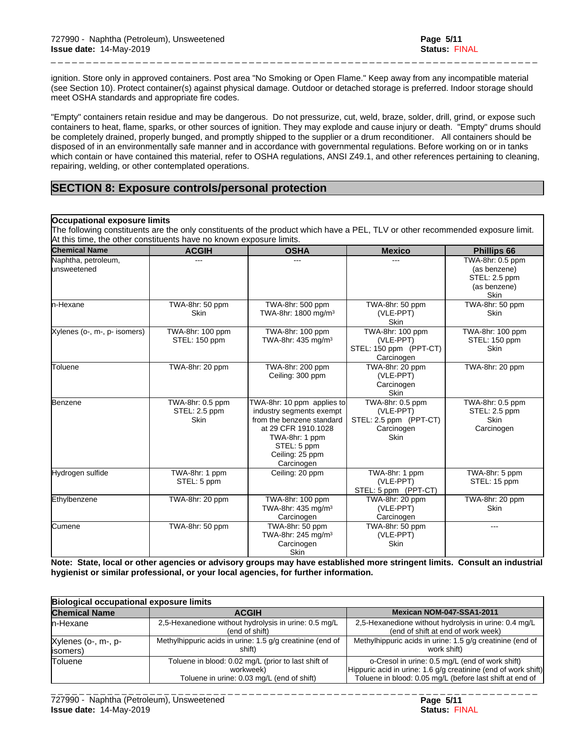ignition. Store only in approved containers. Post area "No Smoking or Open Flame." Keep away from any incompatible material (see Section 10). Protect container(s) against physical damage. Outdoor or detached storage is preferred. Indoor storage should meet OSHA standards and appropriate fire codes.

\_ \_ \_ \_ \_ \_ \_ \_ \_ \_ \_ \_ \_ \_ \_ \_ \_ \_ \_ \_ \_ \_ \_ \_ \_ \_ \_ \_ \_ \_ \_ \_ \_ \_ \_ \_ \_ \_ \_ \_ \_ \_ \_ \_ \_ \_ \_ \_ \_ \_ \_ \_ \_ \_ \_ \_ \_ \_ \_ \_ \_ \_ \_ \_ \_ \_ \_ \_ \_

"Empty" containers retain residue and may be dangerous. Do not pressurize, cut, weld, braze, solder, drill, grind, or expose such containers to heat, flame, sparks, or other sources of ignition. They may explode and cause injury or death."Empty" drums should be completely drained, properly bunged, and promptly shipped to the supplier or a drum reconditioner. All containers should be disposed of in an environmentally safe manner and in accordance with governmental regulations. Before working on or in tanks which contain or have contained this material, refer to OSHA regulations, ANSI Z49.1, and other references pertaining to cleaning, repairing, welding, or other contemplated operations.

# **SECTION 8: Exposure controls/personal protection**

### **Occupational exposure limits**

The following constituents are the only constituents of the product which have a PEL, TLV or other recommended exposure limit. At this time, the other constituents have no known exposure limits.

| <b>Chemical Name</b>                | <b>ACGIH</b>                                     | <b>OSHA</b>                                                                                                                                                                  | <b>Mexico</b>                                                                        | <b>Phillips 66</b>                                                               |
|-------------------------------------|--------------------------------------------------|------------------------------------------------------------------------------------------------------------------------------------------------------------------------------|--------------------------------------------------------------------------------------|----------------------------------------------------------------------------------|
| Naphtha, petroleum,<br>lunsweetened | $---$                                            | $- - -$                                                                                                                                                                      |                                                                                      | TWA-8hr: 0.5 ppm<br>(as benzene)<br>STEL: 2.5 ppm<br>(as benzene)<br><b>Skin</b> |
| ln-Hexane                           | TWA-8hr: 50 ppm<br><b>Skin</b>                   | TWA-8hr: 500 ppm<br>TWA-8hr: 1800 mg/m <sup>3</sup>                                                                                                                          | TWA-8hr: 50 ppm<br>(VLE-PPT)<br><b>Skin</b>                                          | TWA-8hr: 50 ppm<br><b>Skin</b>                                                   |
| Xylenes (o-, m-, p- isomers)        | TWA-8hr: 100 ppm<br>STEL: 150 ppm                | TWA-8hr: 100 ppm<br>TWA-8hr: 435 mg/m <sup>3</sup>                                                                                                                           | TWA-8hr: 100 ppm<br>(VLE-PPT)<br>STEL: 150 ppm (PPT-CT)<br>Carcinogen                | TWA-8hr: 100 ppm<br>STEL: 150 ppm<br><b>Skin</b>                                 |
| lToluene                            | TWA-8hr: 20 ppm                                  | TWA-8hr: 200 ppm<br>Ceiling: 300 ppm                                                                                                                                         | TWA-8hr: 20 ppm<br>(VLE-PPT)<br>Carcinogen<br><b>Skin</b>                            | TWA-8hr: 20 ppm                                                                  |
| Benzene                             | TWA-8hr: 0.5 ppm<br>STEL: 2.5 ppm<br><b>Skin</b> | TWA-8hr: 10 ppm applies to<br>industry segments exempt<br>from the benzene standard<br>at 29 CFR 1910.1028<br>TWA-8hr: 1 ppm<br>STEL: 5 ppm<br>Ceiling: 25 ppm<br>Carcinogen | TWA-8hr: 0.5 ppm<br>(VLE-PPT)<br>STEL: 2.5 ppm (PPT-CT)<br>Carcinogen<br><b>Skin</b> | TWA-8hr: 0.5 ppm<br>STEL: 2.5 ppm<br><b>Skin</b><br>Carcinogen                   |
| Hydrogen sulfide                    | TWA-8hr: 1 ppm<br>STEL: 5 ppm                    | Ceiling: 20 ppm                                                                                                                                                              | TWA-8hr: 1 ppm<br>(VLE-PPT)<br>STEL: 5 ppm (PPT-CT)                                  | TWA-8hr: 5 ppm<br>STEL: 15 ppm                                                   |
| Ethylbenzene                        | TWA-8hr: 20 ppm                                  | TWA-8hr: 100 ppm<br>TWA-8hr: 435 mg/m <sup>3</sup><br>Carcinogen                                                                                                             | TWA-8hr: 20 ppm<br>(VLE-PPT)<br>Carcinogen                                           | TWA-8hr: 20 ppm<br><b>Skin</b>                                                   |
| <b>C</b> umene                      | TWA-8hr: 50 ppm                                  | TWA-8hr: 50 ppm<br>TWA-8hr: 245 mg/m <sup>3</sup><br>Carcinogen<br><b>Skin</b>                                                                                               | TWA-8hr: 50 ppm<br>(VLE-PPT)<br>Skin                                                 | $---$                                                                            |

Note: State, local or other agencies or advisory groups may have established more stringent limits. Consult an industrial **hygienist or similar professional, or your local agencies, for further information.**

| Biological occupational exposure limits |                                                                                                                |                                                                                                                                                                               |
|-----------------------------------------|----------------------------------------------------------------------------------------------------------------|-------------------------------------------------------------------------------------------------------------------------------------------------------------------------------|
| <b>Chemical Name</b>                    | <b>ACGIH</b>                                                                                                   | Mexican NOM-047-SSA1-2011                                                                                                                                                     |
| In-Hexane                               | 2,5-Hexanedione without hydrolysis in urine: 0.5 mg/L<br>(end of shift)                                        | 2,5-Hexanedione without hydrolysis in urine: 0.4 mg/L<br>(end of shift at end of work week)                                                                                   |
| Xylenes (o-, m-, p-<br>(isomers)        | Methylhippuric acids in urine: 1.5 g/g creatinine (end of<br>shift)                                            | Methylhippuric acids in urine: 1.5 g/g creatinine (end of<br>work shift)                                                                                                      |
| <b>Toluene</b>                          | Toluene in blood: 0.02 mg/L (prior to last shift of<br>workweek)<br>Toluene in urine: 0.03 mg/L (end of shift) | o-Cresol in urine: 0.5 mg/L (end of work shift)<br>Hippuric acid in urine: 1.6 g/g creatinine (end of work shift)<br>Toluene in blood: 0.05 mg/L (before last shift at end of |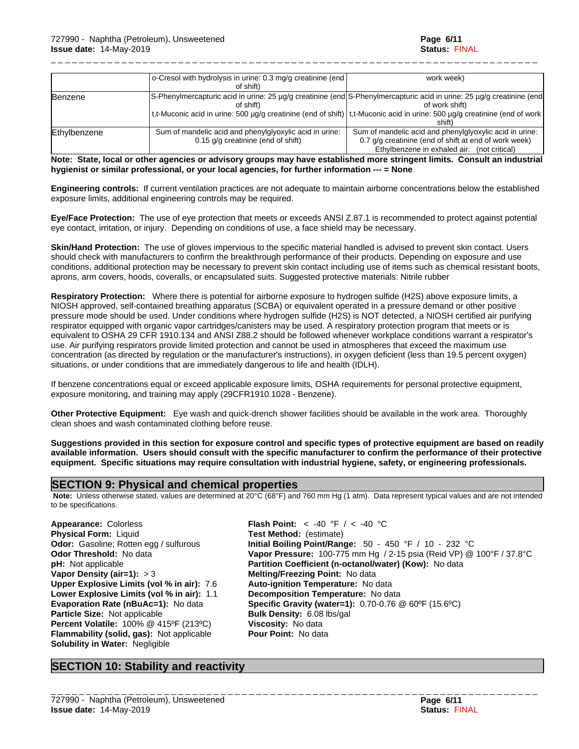\_ \_ \_ \_ \_ \_ \_ \_ \_ \_ \_ \_ \_ \_ \_ \_ \_ \_ \_ \_ \_ \_ \_ \_ \_ \_ \_ \_ \_ \_ \_ \_ \_ \_ \_ \_ \_ \_ \_ \_ \_ \_ \_ \_ \_ \_ \_ \_ \_ \_ \_ \_ \_ \_ \_ \_ \_ \_ \_ \_ \_ \_ \_ \_ \_ \_ \_ \_ \_

|              | o-Cresol with hydrolysis in urine: 0.3 mg/g creatinine (end)                                                          | work week)                                                                                                                  |
|--------------|-----------------------------------------------------------------------------------------------------------------------|-----------------------------------------------------------------------------------------------------------------------------|
|              | of shift)                                                                                                             |                                                                                                                             |
| Benzene      | S-Phenylmercapturic acid in urine: 25 µg/g creatinine (end S-Phenylmercapturic acid in urine: 25 µg/g creatinine (end |                                                                                                                             |
|              | of shift)                                                                                                             | of work shift)                                                                                                              |
|              |                                                                                                                       | t,t-Muconic acid in urine: 500 µg/g creatinine (end of shift)   t,t-Muconic acid in urine: 500 µg/g creatinine (end of work |
|              |                                                                                                                       | shift)                                                                                                                      |
| Ethylbenzene | Sum of mandelic acid and phenylglyoxylic acid in urine:                                                               | Sum of mandelic acid and phenylglyoxylic acid in urine:                                                                     |
|              | 0.15 g/g creatinine (end of shift)                                                                                    | 0.7 g/g creatinine (end of shift at end of work week)                                                                       |
|              |                                                                                                                       | Ethylbenzene in exhaled air: (not critical)                                                                                 |

### Note: State, local or other agencies or advisory groups may have established more stringent limits. Consult an industrial **hygienist or similar professional, or your local agencies, for further information --- = None**

**Engineering controls:** If current ventilation practices are not adequate to maintain airborne concentrations below the established exposure limits, additional engineering controls may be required.

**Eye/Face Protection:** The use of eye protection that meets or exceeds ANSI Z.87.1 isrecommended to protect against potential eye contact, irritation, or injury. Depending on conditions of use, a face shield may be necessary.

**Skin/Hand Protection:** The use of gloves impervious to the specific material handled is advised to prevent skin contact. Users should check with manufacturers to confirm the breakthrough performance of their products. Depending on exposure and use conditions, additional protection may be necessary to prevent skin contact including use of items such as chemical resistant boots, aprons, arm covers, hoods, coveralls, or encapsulated suits. Suggested protective materials: Nitrile rubber

**Respiratory Protection:** Where there is potential for airborne exposure to hydrogen sulfide (H2S) above exposure limits, a NIOSH approved, self-contained breathing apparatus (SCBA) or equivalent operated in a pressure demand or other positive pressure mode should be used. Under conditions where hydrogen sulfide (H2S) is NOT detected, a NIOSH certified air purifying respirator equipped with organic vapor cartridges/canisters may be used. A respiratory protection program that meets or is equivalent to OSHA 29 CFR 1910.134 and ANSI Z88.2 should be followed whenever workplace conditions warrant a respirator's use. Air purifying respirators provide limited protection and cannot be used in atmospheres that exceed the maximum use concentration (as directed by regulation or the manufacturer's instructions), in oxygen deficient (less than 19.5 percent oxygen) situations, or under conditions that are immediately dangerous to life and health (IDLH).

If benzene concentrations equal or exceed applicable exposure limits, OSHA requirements for personal protective equipment, exposure monitoring, and training may apply (29CFR1910.1028 - Benzene).

**Other Protective Equipment:** Eye wash and quick-drench shower facilities should be available in the work area. Thoroughly clean shoes and wash contaminated clothing before reuse.

Suggestions provided in this section for exposure control and specific types of protective equipment are based on readily available information. Users should consult with the specific manufacturer to confirm the performance of their protective **equipment. Specific situations may require consultation with industrial hygiene, safety, or engineering professionals.**

## **SECTION 9: Physical and chemical properties**

 **Note:** Unless otherwise stated, values are determined at 20°C (68°F) and 760 mm Hg (1 atm). Data represent typical values and are not intended to be specifications.

**Physical Form:** Liquid **Test Method:** (estimate) **Vapor Density (air=1):** > 3 **Melting/Freezing Point:** No data **Upper Explosive Limits (vol% in air):** 7.6 **Auto-ignition Temperature:** No data **Lower Explosive Limits (vol% in air):** 1.1 **Decomposition Temperature:** No data **Particle Size:** Not applicable **Bulk Density:** 6.08 lbs/gal **Percent Volatile:** 100% @ 415ºF (213ºC) **Viscosity:** No data **Flammability (solid, gas):** Not applicable **Pour Point:** No data **Solubility in Water:** Negligible

**Appearance:** Colorless **Flash Point:** < -40 °F / < -40 °C **Odor:** Gasoline; Rotten egg / sulfurous **Initial Boiling Point/Range:** 50 - 450 °F / 10 - 232 °C **Odor Threshold:** No data **Vapor Pressure:** 100-775 mm Hg / 2-15 psia (Reid VP) @ 100°F / 37.8°C **pH:** Not applicable **Partition Coefficient (n-octanol/water) (Kow):** No data **Evaporation Rate (nBuAc=1):** No data **Specific Gravity (water=1):** 0.70-0.76 @ 60ºF (15.6ºC)

# **SECTION 10: Stability and reactivity**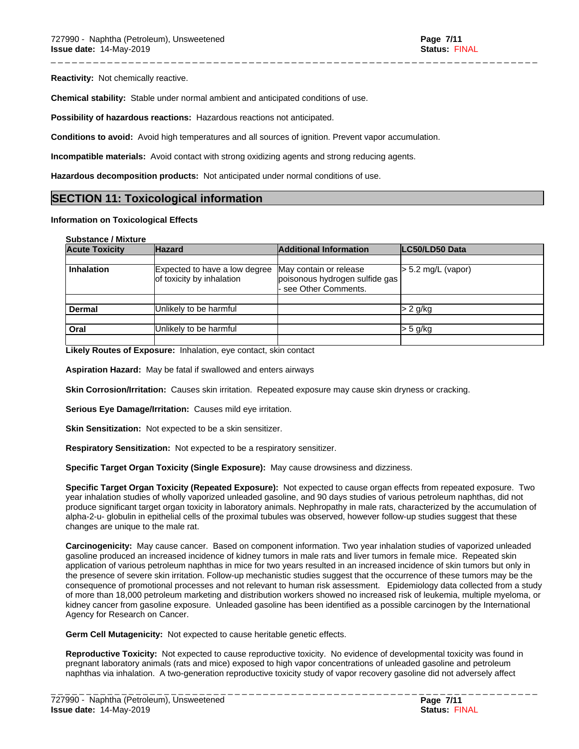**Reactivity:** Not chemically reactive.

**Chemical stability:** Stable under normal ambient and anticipated conditions of use.

**Possibility of hazardous reactions:** Hazardous reactions not anticipated.

**Conditions to avoid:** Avoid high temperatures and all sources of ignition. Prevent vapor accumulation.

**Incompatible materials:** Avoid contact with strong oxidizing agents and strong reducing agents.

**Hazardous decomposition products:** Not anticipated under normal conditions of use.

# **SECTION 11: Toxicological information**

### **Information on Toxicological Effects**

| <b>Substance / Mixture</b> |  |
|----------------------------|--|
|----------------------------|--|

| <b>Acute Toxicity</b> | <b>Hazard</b>                                              | <b>Additional Information</b>                                                   | LC50/LD50 Data       |
|-----------------------|------------------------------------------------------------|---------------------------------------------------------------------------------|----------------------|
|                       |                                                            |                                                                                 |                      |
| <b>Inhalation</b>     | Expected to have a low degree<br>of toxicity by inhalation | May contain or release<br>poisonous hydrogen sulfide gas<br>see Other Comments. | $> 5.2$ mg/L (vapor) |
|                       |                                                            |                                                                                 |                      |
| <b>Dermal</b>         | Unlikely to be harmful                                     |                                                                                 | > 2 g/kg             |
| Oral                  | Unlikely to be harmful                                     |                                                                                 | $>$ 5 g/kg           |

\_ \_ \_ \_ \_ \_ \_ \_ \_ \_ \_ \_ \_ \_ \_ \_ \_ \_ \_ \_ \_ \_ \_ \_ \_ \_ \_ \_ \_ \_ \_ \_ \_ \_ \_ \_ \_ \_ \_ \_ \_ \_ \_ \_ \_ \_ \_ \_ \_ \_ \_ \_ \_ \_ \_ \_ \_ \_ \_ \_ \_ \_ \_ \_ \_ \_ \_ \_ \_

**Likely Routes of Exposure:** Inhalation, eye contact, skin contact

**Aspiration Hazard:** May be fatal if swallowed and enters airways

**Skin Corrosion/Irritation:** Causes skin irritation. Repeated exposure may cause skin dryness or cracking.

**Serious Eye Damage/Irritation:** Causes mild eye irritation.

**Skin Sensitization:** Not expected to be a skin sensitizer.

**Respiratory Sensitization:** Not expected to be a respiratory sensitizer.

**Specific Target Organ Toxicity (Single Exposure):** May cause drowsiness and dizziness.

**Specific Target Organ Toxicity (Repeated Exposure):** Not expected to cause organ effects from repeated exposure. Two year inhalation studies of wholly vaporized unleaded gasoline, and 90 days studies of various petroleum naphthas, did not produce significant target organ toxicity in laboratory animals. Nephropathy in male rats, characterized by the accumulation of alpha-2-u- globulin in epithelial cells of the proximal tubules was observed, however follow-up studies suggest that these changes are unique to the male rat.

Carcinogenicity: May cause cancer. Based on component information. Two year inhalation studies of vaporized unleaded gasoline produced an increased incidence of kidney tumors in male rats and liver tumors in female mice. Repeated skin application of various petroleum naphthas in mice for two years resulted in an increased incidence of skin tumors but only in the presence of severe skin irritation. Follow-up mechanistic studies suggest that the occurrence of these tumors may be the consequence of promotional processes and not relevant to human risk assessment. Epidemiology data collected from a study of more than 18,000 petroleum marketing and distribution workers showed no increased risk of leukemia, multiple myeloma, or kidney cancer from gasoline exposure. Unleaded gasoline has been identified as a possible carcinogen by the International Agency for Research on Cancer.

**Germ Cell Mutagenicity:** Not expected to cause heritable genetic effects.

**Reproductive Toxicity:** Not expected to cause reproductive toxicity. No evidence of developmental toxicity was found in pregnant laboratory animals (rats and mice) exposed to high vapor concentrations of unleaded gasoline and petroleum naphthas via inhalation. A two-generation reproductive toxicity study of vapor recovery gasoline did not adversely affect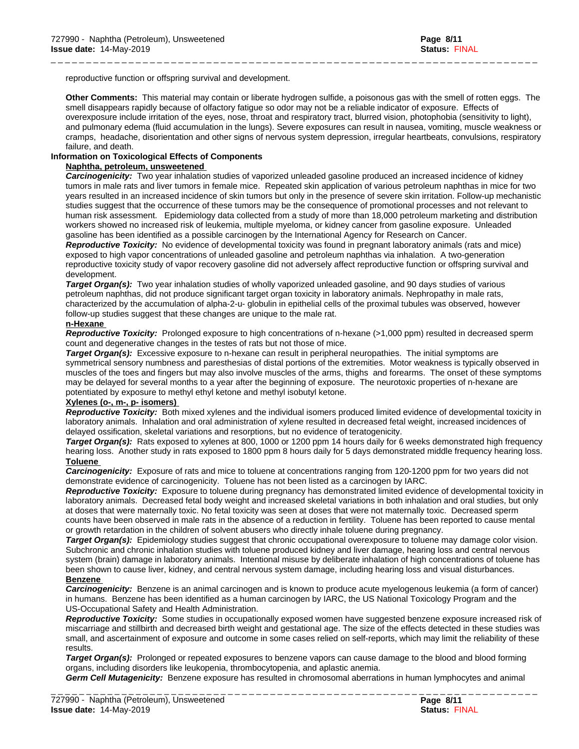reproductive function or offspring survival and development.

**Other Comments:** This material may contain or liberate hydrogen sulfide, a poisonous gas with the smell of rotten eggs. The smell disappears rapidly because of olfactory fatigue so odor may not be a reliable indicator of exposure. Effects of overexposure include irritation of the eyes, nose, throat and respiratory tract, blurred vision, photophobia (sensitivity to light), and pulmonary edema (fluid accumulation in the lungs). Severe exposures can result in nausea, vomiting, muscle weakness or cramps, headache, disorientation and other signs of nervous system depression, irregular heartbeats, convulsions, respiratory failure, and death.

\_ \_ \_ \_ \_ \_ \_ \_ \_ \_ \_ \_ \_ \_ \_ \_ \_ \_ \_ \_ \_ \_ \_ \_ \_ \_ \_ \_ \_ \_ \_ \_ \_ \_ \_ \_ \_ \_ \_ \_ \_ \_ \_ \_ \_ \_ \_ \_ \_ \_ \_ \_ \_ \_ \_ \_ \_ \_ \_ \_ \_ \_ \_ \_ \_ \_ \_ \_ \_

### **Information on Toxicological Effects of Components**

### **Naphtha, petroleum, unsweetened**

*Carcinogenicity:* Two year inhalation studies of vaporized unleaded gasoline produced an increased incidence of kidney tumors in male rats and liver tumors in female mice. Repeated skin application of various petroleum naphthas in mice for two years resulted in an increased incidence of skin tumors but only in the presence of severe skin irritation. Follow-up mechanistic studies suggest that the occurrence of these tumors may be the consequence of promotional processes and not relevant to human risk assessment. Epidemiology data collected from a study of more than 18,000 petroleum marketing and distribution workers showed no increased risk of leukemia, multiple myeloma, or kidney cancer from gasoline exposure. Unleaded gasoline has been identified as a possible carcinogen by the International Agency for Research on Cancer. *Reproductive Toxicity:* No evidence of developmental toxicity was found in pregnantlaboratory animals (rats and mice) exposed to high vapor concentrations of unleaded gasoline and petroleum naphthas via inhalation. A two-generation reproductive toxicity study of vapor recovery gasoline did not adversely affect reproductive function or offspring survival and development.

*Target Organ(s):* Two year inhalation studies of wholly vaporized unleaded gasoline, and 90 days studies of various petroleum naphthas, did not produce significant target organ toxicity in laboratory animals. Nephropathy in male rats, characterized by the accumulation of alpha-2-u- globulin in epithelial cells of the proximal tubules was observed, however follow-up studies suggest that these changes are unique to the male rat.

### **n-Hexane**

*Reproductive Toxicity:* Prolonged exposure to high concentrations of n-hexane (>1,000 ppm) resulted in decreased sperm count and degenerative changes in the testes of rats but not those of mice.

*Target Organ(s):* Excessive exposure to n-hexane can result in peripheral neuropathies. The initial symptoms are symmetrical sensory numbness and paresthesias of distal portions of the extremities. Motor weakness is typically observed in muscles of the toes and fingers but may also involve muscles of the arms, thighs and forearms. The onset of these symptoms may be delayed for several months to a year after the beginning of exposure. The neurotoxic properties of n-hexane are potentiated by exposure to methyl ethyl ketone and methyl isobutyl ketone.

### **Xylenes (o-, m-, p- isomers)**

*Reproductive Toxicity:* Both mixed xylenes and the individual isomers produced limited evidence of developmental toxicity in laboratory animals. Inhalation and oral administration of xylene resulted in decreased fetal weight, increased incidences of delayed ossification, skeletal variations and resorptions, but no evidence of teratogenicity.

*Target Organ(s):* Rats exposed to xylenes at 800, 1000 or 1200 ppm 14 hours daily for 6 weeks demonstrated high frequency hearing loss. Another study in rats exposed to 1800 ppm 8 hours daily for 5 days demonstrated middle frequency hearing loss. **Toluene** 

*Carcinogenicity:* Exposure of rats and mice to toluene at concentrations ranging from 120-1200 ppm for two years did not demonstrate evidence of carcinogenicity. Toluene has not been listed as a carcinogen by IARC.

*Reproductive Toxicity:* Exposure to toluene during pregnancy has demonstrated limited evidence of developmental toxicity in laboratory animals. Decreased fetal body weight and increased skeletal variations in both inhalation and oral studies, but only at doses that were maternally toxic. No fetal toxicity was seen at doses that were not maternally toxic. Decreased sperm counts have been observed in male rats in the absence of a reduction in fertility. Toluene has been reported to cause mental or growth retardation in the children of solvent abusers who directly inhale toluene during pregnancy.

*Target Organ(s):* Epidemiology studies suggest that chronic occupational overexposure to toluene may damage color vision. Subchronic and chronic inhalation studies with toluene produced kidney and liver damage, hearing loss and central nervous system (brain) damage in laboratory animals. Intentional misuse by deliberate inhalation of high concentrations of toluene has been shown to cause liver, kidney, and central nervous system damage, including hearing loss and visual disturbances. **Benzene** 

*Carcinogenicity:* Benzene is an animal carcinogen and is known to produce acute myelogenous leukemia (a form of cancer) in humans. Benzene has been identified as a human carcinogen by IARC, the US National Toxicology Program and the US-Occupational Safety and Health Administration.

*Reproductive Toxicity:* Some studies in occupationally exposed women have suggested benzene exposure increased risk of miscarriage and stillbirth and decreased birth weight and gestational age. The size of the effects detected in these studies was small, and ascertainment of exposure and outcome in some cases relied on self-reports, which may limit the reliability of these results.

*Target Organ(s):* Prolonged or repeated exposures to benzene vapors can cause damage to the blood and blood forming organs, including disorders like leukopenia, thrombocytopenia, and aplastic anemia.

*Germ Cell Mutagenicity:* Benzene exposure has resulted in chromosomalaberrations in human lymphocytes and animal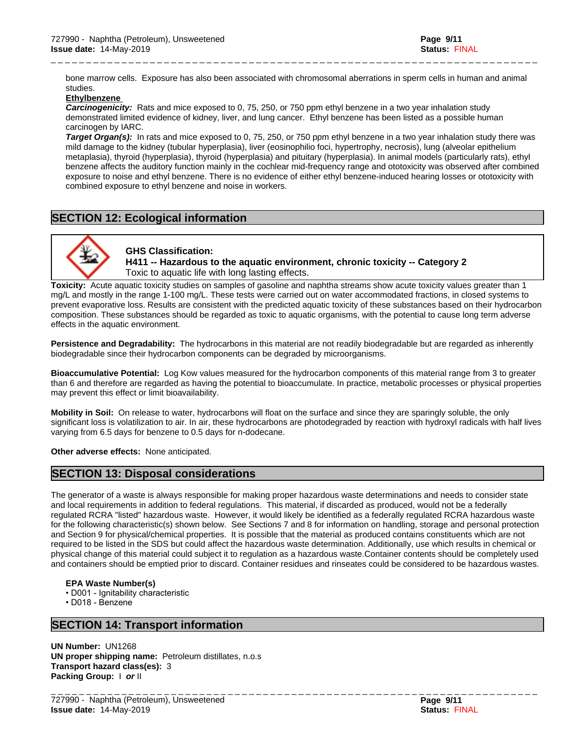bone marrow cells. Exposure has also been associated with chromosomal aberrations in sperm cells in human and animal studies.

\_ \_ \_ \_ \_ \_ \_ \_ \_ \_ \_ \_ \_ \_ \_ \_ \_ \_ \_ \_ \_ \_ \_ \_ \_ \_ \_ \_ \_ \_ \_ \_ \_ \_ \_ \_ \_ \_ \_ \_ \_ \_ \_ \_ \_ \_ \_ \_ \_ \_ \_ \_ \_ \_ \_ \_ \_ \_ \_ \_ \_ \_ \_ \_ \_ \_ \_ \_ \_

### **Ethylbenzene**

*Carcinogenicity:* Rats and mice exposed to 0, 75, 250, or 750 ppm ethyl benzene in a two year inhalation study demonstrated limited evidence of kidney, liver, and lung cancer. Ethyl benzene has been listed as a possible human carcinogen by IARC.

*Target Organ(s):* In rats and mice exposed to 0, 75, 250, or 750 ppm ethyl benzene in a two year inhalation study there was mild damage to the kidney (tubular hyperplasia), liver (eosinophilio foci, hypertrophy, necrosis), lung (alveolar epithelium metaplasia), thyroid (hyperplasia), thyroid (hyperplasia) and pituitary (hyperplasia). In animal models (particularly rats), ethyl benzene affects the auditory function mainly in the cochlear mid-frequency range and ototoxicity was observed after combined exposure to noise and ethyl benzene. There is no evidence of either ethyl benzene-induced hearing losses or ototoxicity with combined exposure to ethyl benzene and noise in workers.

# **SECTION 12: Ecological information**



**GHS Classification: H411 -- Hazardous to the aquatic environment, chronic toxicity -- Category 2** Toxic to aquatic life with long lasting effects.

**Toxicity:** Acute aquatic toxicity studies on samples of gasoline and naphtha streams show acute toxicity values greater than 1 mg/L and mostly in the range 1-100 mg/L. These tests were carried out on water accommodated fractions, in closed systems to prevent evaporative loss. Results are consistent with the predicted aquatic toxicity of these substances based on their hydrocarbon composition. These substances should be regarded as toxic to aquatic organisms, with the potential to cause long term adverse effects in the aquatic environment.

**Persistence and Degradability:** The hydrocarbons in this material are not readily biodegradable but are regarded as inherently biodegradable since their hydrocarbon components can be degraded by microorganisms.

**Bioaccumulative Potential:** Log Kow values measured for the hydrocarbon components of this material range from 3 to greater than 6 and therefore are regarded as having the potential to bioaccumulate. In practice, metabolic processes or physical properties may prevent this effect or limit bioavailability.

**Mobility in Soil:** On release to water, hydrocarbons will float on the surface and since they are sparingly soluble, the only significant loss is volatilization to air. In air, these hydrocarbons are photodegraded by reaction with hydroxyl radicals with half lives varying from 6.5 days for benzene to 0.5 days for n-dodecane.

**Other adverse effects:** None anticipated.

# **SECTION 13: Disposal considerations**

The generator of a waste is always responsible for making proper hazardous waste determinations and needs to consider state and local requirements in addition to federal regulations. This material, if discarded as produced, would not be a federally regulated RCRA "listed" hazardous waste. However, it would likely be identified as a federally regulated RCRA hazardous waste for the following characteristic(s) shown below. See Sections 7 and 8 for information on handling, storage and personal protection and Section 9 for physical/chemical properties. It is possible that the material as produced contains constituents which are not required to be listed in the SDS but could affect the hazardous waste determination. Additionally, use which results in chemical or physical change of this material could subject it to regulation as a hazardous waste.Container contents should be completely used and containers should be emptied prior to discard. Container residues and rinseates could be considered to be hazardous wastes.

### **EPA** Waste Number(s)

• D001 - Ignitability characteristic

•D018-Benzene

# **SECTION 14: Transport information**

**UN Number:** UN1268 **UN proper shipping name:** Petroleum distillates, n.o.s **Transport hazard class(es):** 3 **Packing Group:** I *or* II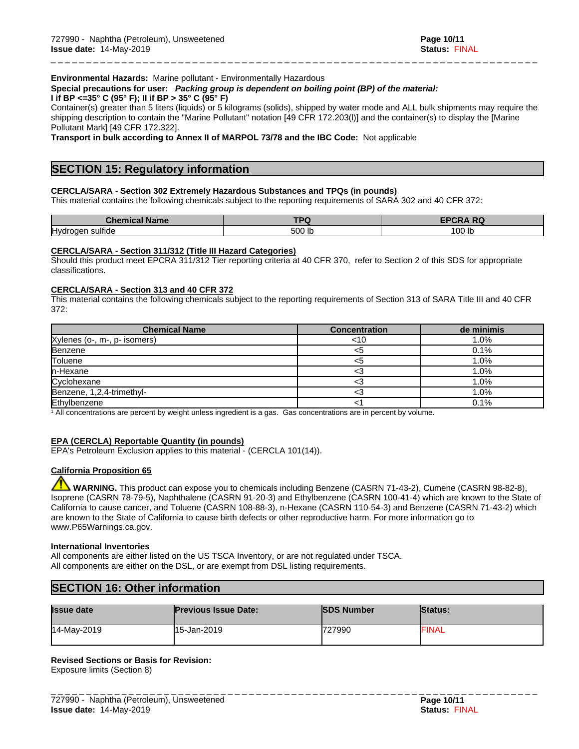### **Environmental Hazards:** Marine pollutant - Environmentally Hazardous

**Special precautions for user:** *Packing group is dependent on boiling point (BP) of the material:*

# **I if BP <=35° C (95° F); II if BP > 35° C (95° F)**

Container(s) greater than 5 liters (liquids) or 5 kilograms (solids), shipped by water mode and ALL bulk shipments may require the shipping description to contain the "Marine Pollutant" notation [49 CFR 172.203(l)] and the container(s) to display the [Marine Pollutant Mark] [49 CFR 172.322].

\_ \_ \_ \_ \_ \_ \_ \_ \_ \_ \_ \_ \_ \_ \_ \_ \_ \_ \_ \_ \_ \_ \_ \_ \_ \_ \_ \_ \_ \_ \_ \_ \_ \_ \_ \_ \_ \_ \_ \_ \_ \_ \_ \_ \_ \_ \_ \_ \_ \_ \_ \_ \_ \_ \_ \_ \_ \_ \_ \_ \_ \_ \_ \_ \_ \_ \_ \_ \_

**Transport in bulk according to Annex II of MARPOL 73/78 and the IBC Code:** Not applicable

# **SECTION 15: Regulatory information**

### **CERCLA/SARA - Section 302 Extremely Hazardous Substances and TPQs (in pounds)**

This material contains the following chemicals subject to the reporting requirements of SARA 302 and 40 CFR 372:

| $\overline{\phantom{a}}$<br>Chen<br><b>Name</b><br>$\mathbf{m}$<br>ньа<br>. . | $T^{\sim}$<br>- | <b>FPCRA RO</b><br>I RU |
|-------------------------------------------------------------------------------|-----------------|-------------------------|
| Hydrogen sulfide                                                              | 500<br>.        | $\cap$ $\cap$<br>00 lb  |

### **CERCLA/SARA - Section 311/312 (Title III Hazard Categories)**

Should this product meet EPCRA 311/312 Tier reporting criteria at 40 CFR 370, refer to Section 2 of this SDS for appropriate classifications.

### **CERCLA/SARA - Section 313 and 40 CFR 372**

This material contains the following chemicals subject to the reporting requirements of Section 313 of SARA Title III and 40 CFR 372:

| <b>Chemical Name</b>         | <b>Concentration</b> | de minimis |
|------------------------------|----------------------|------------|
| Xylenes (o-, m-, p- isomers) | <10                  | . .0%      |
| Benzene                      |                      | 0.1%       |
| Toluene                      |                      | .0%        |
| n-Hexane                     |                      | .0%        |
| Cyclohexane                  |                      | .0%        |
| Benzene, 1,2,4-trimethyl-    |                      | $.0\%$     |
| Ethylbenzene                 |                      | 0.1%       |

<sup>1</sup> All concentrations are percent by weight unless ingredient is a gas. Gas concentrations are in percent by volume.

### **EPA (CERCLA) Reportable Quantity (in pounds)**

EPA's Petroleum Exclusion applies to this material - (CERCLA 101(14)).

### **California Proposition 65**

 **WARNING.** This product can expose you to chemicals including Benzene (CASRN 71-43-2), Cumene (CASRN 98-82-8), Isoprene (CASRN 78-79-5), Naphthalene (CASRN 91-20-3) and Ethylbenzene (CASRN 100-41-4) which are known to the State of California to cause cancer, and Toluene (CASRN 108-88-3), n-Hexane (CASRN 110-54-3) and Benzene (CASRN 71-43-2) which are known to the State of California to cause birth defects or other reproductive harm. For more information go to www.P65Warnings.ca.gov.

### **International Inventories**

All components are either listed on the US TSCA Inventory, or are not regulated under TSCA. All components are either on the DSL, or are exempt from DSL listing requirements.

# **SECTION 16: Other information**

| <b>Issue date</b> | <b>Previous Issue Date:</b> | <b>SDS Number</b> | <b>Status:</b> |
|-------------------|-----------------------------|-------------------|----------------|
| 14-May-2019       | 15-Jan-2019                 | 727990            | <b>FINAL</b>   |

### **Revised Sections or Basis for Revision:**

Exposure limits (Section 8)